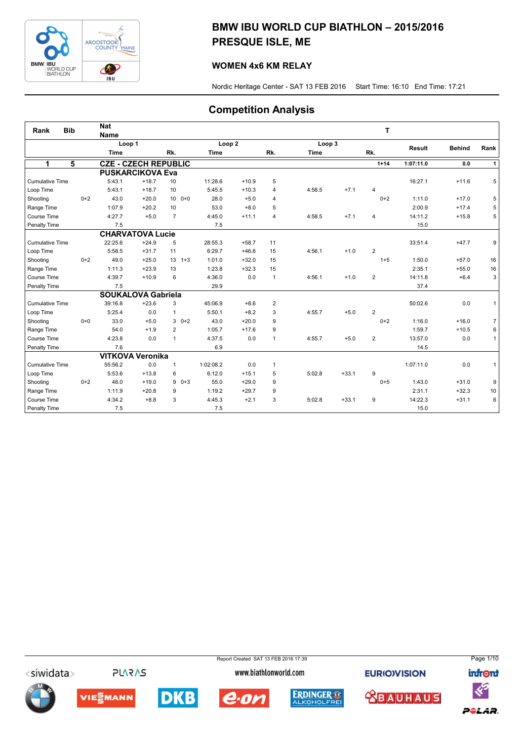

## BMW IBU WORLD CUP BIATHLON – 2015/2016 PRESQUE ISLE, ME

## WOMEN 4x6 KM RELAY

Nordic Heritage Center - SAT 13 FEB 2016 Start Time: 16:10 End Time: 17:21

## Competition Analysis

| Rank                   | <b>Bib</b> |       | <b>Nat</b><br><b>Name</b>   |         |                            |                   |         |                |             |         | т              |           |               |                |
|------------------------|------------|-------|-----------------------------|---------|----------------------------|-------------------|---------|----------------|-------------|---------|----------------|-----------|---------------|----------------|
|                        |            |       | Loop 1                      |         |                            | Loop <sub>2</sub> |         |                | Loop 3      |         |                |           |               |                |
|                        |            |       | <b>Time</b>                 |         | Rk.                        | <b>Time</b>       |         | Rk.            | <b>Time</b> |         | Rk.            | Result    | <b>Behind</b> | Rank           |
| 1                      | 5          |       | <b>CZE - CZECH REPUBLIC</b> |         |                            |                   |         |                |             |         | $1 + 14$       | 1:07:11.0 | 0.0           | $\mathbf{1}$   |
|                        |            |       | <b>PUSKARCIKOVA Eva</b>     |         |                            |                   |         |                |             |         |                |           |               |                |
| <b>Cumulative Time</b> |            |       | 5:43.1                      | $+18.7$ | 10                         | 11:28.6           | $+10.9$ | 5              |             |         |                | 16:27.1   | $+11.6$       | 5              |
| Loop Time              |            |       | 5:43.1                      | $+18.7$ | 10                         | 5:45.5            | $+10.3$ | 4              | 4:58.5      | $+7.1$  | 4              |           |               |                |
| Shooting               |            | $0+2$ | 43.0                        | $+20.0$ | 10 <sup>1</sup><br>$0 + 0$ | 28.0              | $+5.0$  | $\overline{4}$ |             |         | $0+2$          | 1:11.0    | $+17.0$       | 5              |
| Range Time             |            |       | 1:07.9                      | $+20.2$ | 10                         | 53.0              | $+8.0$  | 5              |             |         |                | 2:00.9    | $+17.4$       | 5              |
| Course Time            |            |       | 4:27.7                      | $+5.0$  | $\overline{7}$             | 4:45.0            | $+11.1$ | $\overline{4}$ | 4:58.5      | $+7.1$  | $\overline{4}$ | 14:11.2   | $+15.8$       | 5              |
| Penalty Time           |            |       | 7.5                         |         |                            | 7.5               |         |                |             |         |                | 15.0      |               |                |
|                        |            |       | <b>CHARVATOVA Lucie</b>     |         |                            |                   |         |                |             |         |                |           |               |                |
| <b>Cumulative Time</b> |            |       | 22:25.6                     | $+24.9$ | 5                          | 28:55.3           | $+58.7$ | 11             |             |         |                | 33:51.4   | $+47.7$       | 9              |
| Loop Time              |            |       | 5:58.5                      | $+31.7$ | 11                         | 6:29.7            | $+46.6$ | 15             | 4:56.1      | $+1.0$  | $\overline{2}$ |           |               |                |
| Shooting               |            | $0+2$ | 49.0                        | $+25.0$ | 13<br>$1 + 3$              | 1:01.0            | $+32.0$ | 15             |             |         | $1 + 5$        | 1:50.0    | $+57.0$       | 16             |
| Range Time             |            |       | 1:11.3                      | $+23.9$ | 13                         | 1:23.8            | $+32.3$ | 15             |             |         |                | 2:35.1    | $+55.0$       | 16             |
| Course Time            |            |       | 4:39.7                      | $+10.9$ | 6                          | 4:36.0            | 0.0     | $\mathbf{1}$   | 4:56.1      | $+1.0$  | $\overline{2}$ | 14:11.8   | $+6.4$        | 3              |
| Penalty Time           |            |       | 7.5                         |         |                            | 29.9              |         |                |             |         |                | 37.4      |               |                |
|                        |            |       | <b>SOUKALOVA Gabriela</b>   |         |                            |                   |         |                |             |         |                |           |               |                |
| <b>Cumulative Time</b> |            |       | 39:16.8                     | $+23.6$ | 3                          | 45:06.9           | $+8.6$  | $\overline{2}$ |             |         |                | 50:02.6   | 0.0           | 1              |
| Loop Time              |            |       | 5:25.4                      | 0.0     | $\mathbf{1}$               | 5:50.1            | $+8.2$  | 3              | 4:55.7      | $+5.0$  | $\overline{2}$ |           |               |                |
| Shooting               |            | $0+0$ | 33.0                        | $+5.0$  | $30+2$                     | 43.0              | $+20.0$ | 9              |             |         | $0+2$          | 1:16.0    | $+16.0$       | $\overline{7}$ |
| Range Time             |            |       | 54.0                        | $+1.9$  | $\overline{2}$             | 1:05.7            | $+17.6$ | 9              |             |         |                | 1:59.7    | $+10.5$       | 6              |
| Course Time            |            |       | 4:23.8                      | 0.0     | $\mathbf{1}$               | 4:37.5            | 0.0     | $\mathbf{1}$   | 4:55.7      | $+5.0$  | $\overline{2}$ | 13:57.0   | 0.0           | $\mathbf{1}$   |
| Penalty Time           |            |       | 7.6                         |         |                            | 6.9               |         |                |             |         |                | 14.5      |               |                |
|                        |            |       | <b>VITKOVA Veronika</b>     |         |                            |                   |         |                |             |         |                |           |               |                |
| <b>Cumulative Time</b> |            |       | 55:56.2                     | 0.0     | $\mathbf{1}$               | 1:02:08.2         | 0.0     | $\mathbf{1}$   |             |         |                | 1:07:11.0 | 0.0           | $\mathbf{1}$   |
| Loop Time              |            |       | 5:53.6                      | $+13.8$ | 6                          | 6:12.0            | $+15.1$ | 5              | 5:02.8      | $+33.1$ | 9              |           |               |                |
| Shooting               |            | $0+2$ | 48.0                        | $+19.0$ | 9<br>$0 + 3$               | 55.0              | $+29.0$ | 9              |             |         | $0 + 5$        | 1:43.0    | $+31.0$       | 9              |
| Range Time             |            |       | 1:11.9                      | $+20.8$ | 9                          | 1:19.2            | $+29.7$ | 9              |             |         |                | 2:31.1    | $+32.3$       | 10             |
| Course Time            |            |       | 4:34.2                      | $+8.8$  | 3                          | 4:45.3            | $+2.1$  | 3              | 5:02.8      | $+33.1$ | 9              | 14:22.3   | $+31.1$       | 6              |
| Penalty Time           |            |       | 7.5                         |         |                            | 7.5               |         |                |             |         |                | 15.0      |               |                |

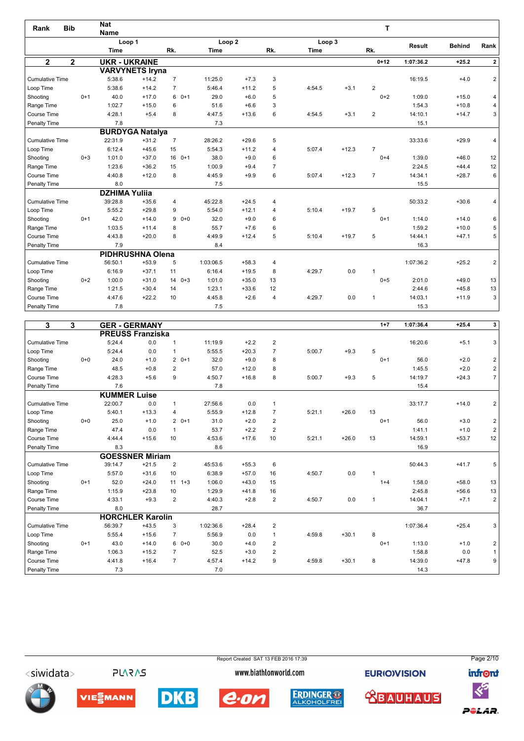| Rank                   | <b>Bib</b>  |         | <b>Nat</b><br><b>Name</b> |                         |                |                   |         |                |             |         | т              |               |               |                |
|------------------------|-------------|---------|---------------------------|-------------------------|----------------|-------------------|---------|----------------|-------------|---------|----------------|---------------|---------------|----------------|
|                        |             |         | Loop 1                    |                         |                | Loop <sub>2</sub> |         |                | Loop 3      |         |                |               |               |                |
|                        |             |         | <b>Time</b>               |                         | Rk.            | Time              |         | Rk.            | <b>Time</b> |         | Rk.            | <b>Result</b> | <b>Behind</b> | Rank           |
| $\mathbf{2}$           | $\mathbf 2$ |         | <b>UKR - UKRAINE</b>      |                         |                |                   |         |                |             |         | $0 + 12$       | 1:07:36.2     | $+25.2$       | $\mathbf{2}$   |
|                        |             |         |                           | <b>VARVYNETS Iryna</b>  |                |                   |         |                |             |         |                |               |               |                |
| <b>Cumulative Time</b> |             |         | 5:38.6                    | $+14.2$                 | $\overline{7}$ | 11:25.0           | $+7.3$  | 3              |             |         |                | 16:19.5       | $+4.0$        | $\overline{2}$ |
| Loop Time              |             |         | 5:38.6                    | $+14.2$                 | $\overline{7}$ | 5:46.4            | $+11.2$ | 5              | 4:54.5      | $+3.1$  | $\overline{2}$ |               |               |                |
| Shooting               |             | $0+1$   | 40.0                      | $+17.0$                 | 6<br>$0+1$     | 29.0              | $+6.0$  | 5              |             |         | $0 + 2$        | 1:09.0        | $+15.0$       | 4              |
| Range Time             |             |         | 1:02.7                    | $+15.0$                 | 6              | 51.6              | $+6.6$  | 3              |             |         |                | 1:54.3        | $+10.8$       | 4              |
| Course Time            |             |         | 4:28.1                    | $+5.4$                  | 8              | 4:47.5            | $+13.6$ | 6              | 4:54.5      | $+3.1$  | 2              | 14:10.1       | $+14.7$       | 3              |
| Penalty Time           |             |         | 7.8                       |                         |                | 7.3               |         |                |             |         |                | 15.1          |               |                |
|                        |             |         |                           | <b>BURDYGA Natalya</b>  |                |                   |         |                |             |         |                |               |               |                |
| <b>Cumulative Time</b> |             |         | 22:31.9                   | $+31.2$                 | $\overline{7}$ | 28:26.2           | $+29.6$ | 5              |             |         |                | 33:33.6       | $+29.9$       | 4              |
| Loop Time              |             |         | 6:12.4                    | $+45.6$                 | 15             | 5:54.3            | $+11.2$ | $\overline{4}$ | 5:07.4      | $+12.3$ | $\overline{7}$ |               |               |                |
| Shooting               |             | $0 + 3$ | 1:01.0                    | $+37.0$                 | 16<br>$0+1$    | 38.0              | $+9.0$  | 6              |             |         | $0 + 4$        | 1:39.0        | $+46.0$       | 12             |
| Range Time             |             |         | 1:23.6                    | $+36.2$                 | 15             | 1:00.9            | $+9.4$  | $\overline{7}$ |             |         |                | 2:24.5        | $+44.4$       | 12             |
| Course Time            |             |         | 4:40.8                    | $+12.0$                 | 8              | 4:45.9            | $+9.9$  | 6              | 5:07.4      | $+12.3$ | $\overline{7}$ | 14:34.1       | $+28.7$       | 6              |
| Penalty Time           |             |         | 8.0                       |                         |                | 7.5               |         |                |             |         |                | 15.5          |               |                |
|                        |             |         | <b>DZHIMA Yulija</b>      |                         |                |                   |         |                |             |         |                |               |               |                |
| <b>Cumulative Time</b> |             |         | 39:28.8                   | $+35.6$                 | 4              | 45:22.8           | $+24.5$ | $\overline{4}$ |             |         |                | 50:33.2       | $+30.6$       | 4              |
| Loop Time              |             |         | 5:55.2                    | $+29.8$                 | 9              | 5:54.0            | $+12.1$ | 4              | 5:10.4      | $+19.7$ | 5              |               |               |                |
| Shooting               |             | $0+1$   | 42.0                      | $+14.0$                 | $0+0$<br>9     | 32.0              | $+9.0$  | 6              |             |         | $0+1$          | 1:14.0        | $+14.0$       | 6              |
| Range Time             |             |         | 1:03.5                    | $+11.4$                 | 8              | 55.7              | $+7.6$  | 6              |             |         |                | 1:59.2        | $+10.0$       | 5              |
| Course Time            |             |         | 4:43.8                    | $+20.0$                 | 8              | 4:49.9            | $+12.4$ | 5              | 5:10.4      | $+19.7$ | 5              | 14:44.1       | $+47.1$       | 5              |
| Penalty Time           |             |         | 7.9                       |                         |                | 8.4               |         |                |             |         |                | 16.3          |               |                |
|                        |             |         |                           | <b>PIDHRUSHNA Olena</b> |                |                   |         |                |             |         |                |               |               |                |
| <b>Cumulative Time</b> |             |         | 56:50.1                   | $+53.9$                 | 5              | 1:03:06.5         | $+58.3$ | $\overline{4}$ |             |         |                | 1:07:36.2     | $+25.2$       | $\overline{2}$ |
| Loop Time              |             |         | 6:16.9                    | $+37.1$                 | 11             | 6:16.4            | $+19.5$ | 8              | 4:29.7      | 0.0     | 1              |               |               |                |
| Shooting               |             | $0 + 2$ | 1:00.0                    | $+31.0$                 | $140+3$        | 1:01.0            | $+35.0$ | 13             |             |         | $0 + 5$        | 2:01.0        | $+49.0$       | 13             |
| Range Time             |             |         | 1:21.5                    | $+30.4$                 | 14             | 1:23.1            | $+33.6$ | 12             |             |         |                | 2:44.6        | $+45.8$       | 13             |
| Course Time            |             |         | 4:47.6                    | $+22.2$                 | 10             | 4:45.8            | $+2.6$  | 4              | 4:29.7      | 0.0     | $\mathbf{1}$   | 14:03.1       | $+11.9$       | 3              |
| Penalty Time           |             |         | 7.8                       |                         |                | 7.5               |         |                |             |         |                | 15.3          |               |                |

| 3                      | 3       |                         | <b>GER - GERMANY</b>    |                |           |         |                |        |         | $1 + 7$      | 1:07:36.4 | $+25.4$ | 3 <sup>1</sup> |
|------------------------|---------|-------------------------|-------------------------|----------------|-----------|---------|----------------|--------|---------|--------------|-----------|---------|----------------|
|                        |         | <b>PREUSS Franziska</b> |                         |                |           |         |                |        |         |              |           |         |                |
| <b>Cumulative Time</b> |         | 5:24.4                  | 0.0                     | $\overline{1}$ | 11:19.9   | $+2.2$  | 2              |        |         |              | 16:20.6   | $+5.1$  | 3 <sup>1</sup> |
| Loop Time              |         | 5:24.4                  | 0.0                     | $\overline{1}$ | 5:55.5    | $+20.3$ | $\overline{7}$ | 5:00.7 | $+9.3$  | 5            |           |         |                |
| Shooting               | $0 + 0$ | 24.0                    | $+1.0$                  | $20+1$         | 32.0      | $+9.0$  | 8              |        |         | $0+1$        | 56.0      | $+2.0$  | $\overline{2}$ |
| Range Time             |         | 48.5                    | $+0.8$                  | $\overline{2}$ | 57.0      | $+12.0$ | 8              |        |         |              | 1:45.5    | $+2.0$  | $\mathbf{2}$   |
| Course Time            |         | 4:28.3                  | $+5.6$                  | 9              | 4:50.7    | $+16.8$ | 8              | 5:00.7 | $+9.3$  | 5            | 14:19.7   | $+24.3$ | 7 <sup>1</sup> |
| Penalty Time           |         | 7.6                     |                         |                | 7.8       |         |                |        |         |              | 15.4      |         |                |
|                        |         | <b>KUMMER Luise</b>     |                         |                |           |         |                |        |         |              |           |         |                |
| <b>Cumulative Time</b> |         | 22:00.7                 | 0.0                     | $\mathbf{1}$   | 27:56.6   | 0.0     | $\mathbf{1}$   |        |         |              | 33:17.7   | $+14.0$ | 2              |
| Loop Time              |         | 5:40.1                  | $+13.3$                 | 4              | 5:55.9    | $+12.8$ | $\overline{7}$ | 5:21.1 | $+26.0$ | 13           |           |         |                |
| Shooting               | $0 + 0$ | 25.0                    | $+1.0$                  | $20+1$         | 31.0      | $+2.0$  | $\overline{2}$ |        |         | $0+1$        | 56.0      | $+3.0$  | 2              |
| Range Time             |         | 47.4                    | 0.0                     | $\overline{1}$ | 53.7      | $+2.2$  | 2              |        |         |              | 1:41.1    | $+1.0$  | 2              |
| Course Time            |         | 4:44.4                  | $+15.6$                 | 10             | 4:53.6    | $+17.6$ | 10             | 5:21.1 | $+26.0$ | 13           | 14:59.1   | $+53.7$ | 12             |
| Penalty Time           |         | 8.3                     |                         |                | 8.6       |         |                |        |         |              | 16.9      |         |                |
|                        |         |                         | <b>GOESSNER Miriam</b>  |                |           |         |                |        |         |              |           |         |                |
| <b>Cumulative Time</b> |         | 39:14.7                 | $+21.5$                 | $\overline{2}$ | 45:53.6   | $+55.3$ | 6              |        |         |              | 50:44.3   | $+41.7$ | 5              |
| Loop Time              |         | 5:57.0                  | $+31.6$                 | 10             | 6:38.9    | $+57.0$ | 16             | 4:50.7 | 0.0     | 1            |           |         |                |
| Shooting               | $0+1$   | 52.0                    | $+24.0$                 | 11<br>$1 + 3$  | 1:06.0    | $+43.0$ | 15             |        |         | $1+4$        | 1:58.0    | $+58.0$ | 13             |
| Range Time             |         | 1:15.9                  | $+23.8$                 | 10             | 1:29.9    | $+41.8$ | 16             |        |         |              | 2:45.8    | $+56.6$ | 13             |
| Course Time            |         | 4:33.1                  | $+9.3$                  | 2              | 4:40.3    | $+2.8$  | 2              | 4:50.7 | 0.0     | $\mathbf{1}$ | 14:04.1   | $+7.1$  | 2              |
| Penalty Time           |         | 8.0                     |                         |                | 28.7      |         |                |        |         |              | 36.7      |         |                |
|                        |         |                         | <b>HORCHLER Karolin</b> |                |           |         |                |        |         |              |           |         |                |
| <b>Cumulative Time</b> |         | 56:39.7                 | $+43.5$                 | 3              | 1:02:36.6 | $+28.4$ | $\overline{2}$ |        |         |              | 1:07:36.4 | $+25.4$ | 3              |
| Loop Time              |         | 5:55.4                  | $+15.6$                 | $\overline{7}$ | 5:56.9    | 0.0     | $\mathbf{1}$   | 4:59.8 | $+30.1$ | 8            |           |         |                |
| Shooting               | $0+1$   | 43.0                    | $+14.0$                 | $60+0$         | 30.0      | $+4.0$  | $\overline{2}$ |        |         | $0+1$        | 1:13.0    | $+1.0$  | $\overline{c}$ |
| Range Time             |         | 1:06.3                  | $+15.2$                 | $\overline{7}$ | 52.5      | $+3.0$  | 2              |        |         |              | 1:58.8    | 0.0     | 1              |
| Course Time            |         | 4:41.8                  | $+16.4$                 | $\overline{7}$ | 4:57.4    | $+14.2$ | 9              | 4:59.8 | $+30.1$ | 8            | 14:39.0   | $+47.8$ | 9 <sup>1</sup> |
| Penalty Time           |         | 7.3                     |                         |                | 7.0       |         |                |        |         |              | 14.3      |         |                |

Report Created SAT 13 FEB 2016 17:39 Page 2/10<siwidata> **PLARAS** www.biathlonworld.com **EURIOVISION infront**  $\ll$ **DKB ERDINGER ® <u> XBAUHAUS</u>** VIESMANN e.on POLAR.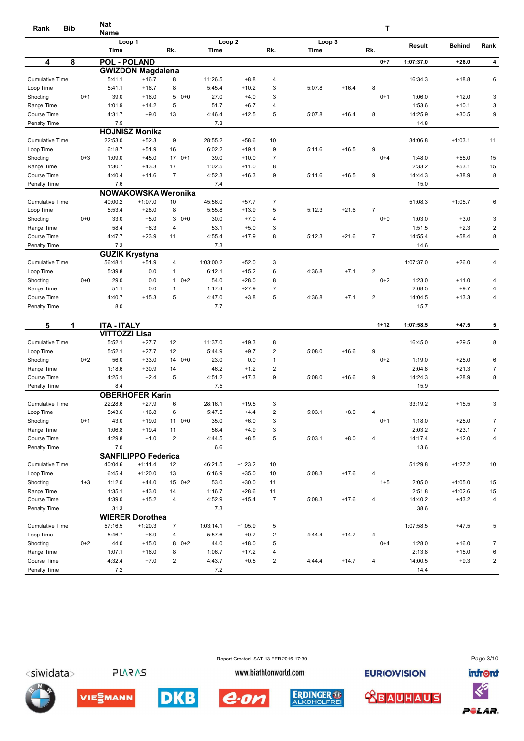| Rank                   | <b>Bib</b> | <b>Nat</b><br><b>Name</b> |             |                            |                |                   |         |                |             |         | т              |               |               |                |
|------------------------|------------|---------------------------|-------------|----------------------------|----------------|-------------------|---------|----------------|-------------|---------|----------------|---------------|---------------|----------------|
|                        |            |                           | Loop 1      |                            |                | Loop <sub>2</sub> |         |                | Loop 3      |         |                | <b>Result</b> | <b>Behind</b> | Rank           |
|                        |            |                           | <b>Time</b> |                            | Rk.            | Time              |         | Rk.            | <b>Time</b> |         | Rk.            |               |               |                |
| 4                      | 8          |                           |             | <b>POL - POLAND</b>        |                |                   |         |                |             |         | $0 + 7$        | 1:07:37.0     | $+26.0$       | 4              |
|                        |            |                           |             | <b>GWIZDON Magdalena</b>   |                |                   |         |                |             |         |                |               |               |                |
| <b>Cumulative Time</b> |            |                           | 5:41.1      | $+16.7$                    | 8              | 11:26.5           | $+8.8$  | 4              |             |         |                | 16:34.3       | $+18.8$       | 6              |
| Loop Time              |            |                           | 5:41.1      | $+16.7$                    | 8              | 5:45.4            | $+10.2$ | 3              | 5:07.8      | $+16.4$ | 8              |               |               |                |
| Shooting               | $0+1$      |                           | 39.0        | $+16.0$                    | 5<br>$0 + 0$   | 27.0              | $+4.0$  | 3              |             |         | $0+1$          | 1:06.0        | $+12.0$       | 3              |
| Range Time             |            |                           | 1:01.9      | $+14.2$                    | 5              | 51.7              | $+6.7$  | 4              |             |         |                | 1:53.6        | $+10.1$       | 3              |
| Course Time            |            |                           | 4:31.7      | $+9.0$                     | 13             | 4:46.4            | $+12.5$ | 5              | 5:07.8      | $+16.4$ | 8              | 14:25.9       | $+30.5$       | 9              |
| Penalty Time           |            |                           | 7.5         |                            |                | 7.3               |         |                |             |         |                | 14.8          |               |                |
|                        |            |                           |             | <b>HOJNISZ Monika</b>      |                |                   |         |                |             |         |                |               |               |                |
| <b>Cumulative Time</b> |            |                           | 22:53.0     | $+52.3$                    | 9              | 28:55.2           | $+58.6$ | 10             |             |         |                | 34:06.8       | $+1:03.1$     | 11             |
| Loop Time              |            |                           | 6:18.7      | $+51.9$                    | 16             | 6:02.2            | $+19.1$ | 9              | 5:11.6      | $+16.5$ | 9              |               |               |                |
| Shooting               | $0 + 3$    |                           | 1:09.0      | $+45.0$                    | 17<br>$0+1$    | 39.0              | $+10.0$ | $\overline{7}$ |             |         | $0 + 4$        | 1:48.0        | $+55.0$       | 15             |
| Range Time             |            |                           | 1:30.7      | $+43.3$                    | 17             | 1:02.5            | $+11.0$ | 8              |             |         |                | 2:33.2        | $+53.1$       | 15             |
| Course Time            |            |                           | 4:40.4      | $+11.6$                    | $\overline{7}$ | 4:52.3            | $+16.3$ | 9              | 5:11.6      | $+16.5$ | 9              | 14:44.3       | $+38.9$       | 8              |
| Penalty Time           |            |                           | 7.6         |                            |                | 7.4               |         |                |             |         |                | 15.0          |               |                |
|                        |            |                           |             | <b>NOWAKOWSKA Weronika</b> |                |                   |         |                |             |         |                |               |               |                |
| <b>Cumulative Time</b> |            |                           | 40:00.2     | $+1:07.0$                  | 10             | 45:56.0           | $+57.7$ | $\overline{7}$ |             |         |                | 51:08.3       | $+1:05.7$     | 6              |
| Loop Time              |            |                           | 5:53.4      | $+28.0$                    | 8              | 5:55.8            | $+13.9$ | 5              | 5:12.3      | $+21.6$ | $\overline{7}$ |               |               |                |
| Shooting               | $0 + 0$    |                           | 33.0        | $+5.0$                     | $30+0$         | 30.0              | $+7.0$  | $\overline{4}$ |             |         | $0 + 0$        | 1:03.0        | $+3.0$        | 3              |
| Range Time             |            |                           | 58.4        | $+6.3$                     | $\overline{4}$ | 53.1              | $+5.0$  | 3              |             |         |                | 1:51.5        | $+2.3$        | $\overline{2}$ |
| Course Time            |            |                           | 4:47.7      | $+23.9$                    | 11             | 4:55.4            | $+17.9$ | 8              | 5:12.3      | $+21.6$ | $\overline{7}$ | 14:55.4       | $+58.4$       | 8              |
| Penalty Time           |            |                           | 7.3         |                            |                | 7.3               |         |                |             |         |                | 14.6          |               |                |
|                        |            |                           |             | <b>GUZIK Krystyna</b>      |                |                   |         |                |             |         |                |               |               |                |
| <b>Cumulative Time</b> |            |                           | 56:48.1     | $+51.9$                    | $\overline{4}$ | 1:03:00.2         | $+52.0$ | 3              |             |         |                | 1:07:37.0     | $+26.0$       | 4              |
| Loop Time              |            |                           | 5:39.8      | 0.0                        | $\mathbf{1}$   | 6:12.1            | $+15.2$ | 6              | 4:36.8      | $+7.1$  | $\overline{2}$ |               |               |                |
| Shooting               | $0 + 0$    |                           | 29.0        | 0.0                        | $10+2$         | 54.0              | $+28.0$ | 8              |             |         | $0 + 2$        | 1:23.0        | $+11.0$       | 4              |
| Range Time             |            |                           | 51.1        | 0.0                        | $\mathbf{1}$   | 1:17.4            | $+27.9$ | $\overline{7}$ |             |         |                | 2:08.5        | $+9.7$        | 4              |
| Course Time            |            |                           | 4:40.7      | $+15.3$                    | 5              | 4:47.0            | $+3.8$  | 5              | 4:36.8      | $+7.1$  | $\overline{2}$ | 14:04.5       | $+13.3$       | 4              |
| Penalty Time           |            |                           | 8.0         |                            |                | 7.7               |         |                |             |         |                | 15.7          |               |                |

| 5<br>1                 |         | <b>ITA - ITALY</b>   |                            |                |           |           |                |        |         | $1 + 12$       | 1:07:58.5 | $+47.5$   | 5               |
|------------------------|---------|----------------------|----------------------------|----------------|-----------|-----------|----------------|--------|---------|----------------|-----------|-----------|-----------------|
|                        |         | <b>VITTOZZI Lisa</b> |                            |                |           |           |                |        |         |                |           |           |                 |
| <b>Cumulative Time</b> |         | 5:52.1               | $+27.7$                    | 12             | 11:37.0   | $+19.3$   | 8              |        |         |                | 16:45.0   | $+29.5$   | 8 <sup>1</sup>  |
| Loop Time              |         | 5:52.1               | $+27.7$                    | 12             | 5:44.9    | $+9.7$    | 2              | 5:08.0 | $+16.6$ | 9              |           |           |                 |
| Shooting               | $0+2$   | 56.0                 | $+33.0$                    | 14<br>$0+0$    | 23.0      | 0.0       | $\mathbf{1}$   |        |         | $0+2$          | 1:19.0    | $+25.0$   | 6               |
| Range Time             |         | 1:18.6               | $+30.9$                    | 14             | 46.2      | $+1.2$    | 2              |        |         |                | 2:04.8    | $+21.3$   | 7 <sup>1</sup>  |
| Course Time            |         | 4:25.1               | $+2.4$                     | 5              | 4:51.2    | $+17.3$   | 9              | 5:08.0 | $+16.6$ | 9              | 14:24.3   | $+28.9$   | 8 <sup>1</sup>  |
| Penalty Time           |         | 8.4                  |                            |                | 7.5       |           |                |        |         |                | 15.9      |           |                 |
|                        |         |                      | <b>OBERHOFER Karin</b>     |                |           |           |                |        |         |                |           |           |                 |
| <b>Cumulative Time</b> |         | 22:28.6              | $+27.9$                    | 6              | 28:16.1   | $+19.5$   | 3              |        |         |                | 33:19.2   | $+15.5$   | 3 <sup>1</sup>  |
| Loop Time              |         | 5:43.6               | $+16.8$                    | 6              | 5:47.5    | $+4.4$    | $\overline{2}$ | 5:03.1 | $+8.0$  | 4              |           |           |                 |
| Shooting               | $0+1$   | 43.0                 | $+19.0$                    | $110+0$        | 35.0      | $+6.0$    | 3              |        |         | $0+1$          | 1:18.0    | $+25.0$   | 7 <sup>1</sup>  |
| Range Time             |         | 1:06.8               | $+19.4$                    | 11             | 56.4      | $+4.9$    | 3              |        |         |                | 2:03.2    | $+23.1$   | 7 <sup>1</sup>  |
| Course Time            |         | 4:29.8               | $+1.0$                     | 2              | 4:44.5    | $+8.5$    | 5              | 5:03.1 | $+8.0$  | $\overline{4}$ | 14:17.4   | $+12.0$   | 4 <sup>1</sup>  |
| Penalty Time           |         | 7.0                  |                            |                | 6.6       |           |                |        |         |                | 13.6      |           |                 |
|                        |         |                      | <b>SANFILIPPO Federica</b> |                |           |           |                |        |         |                |           |           |                 |
| <b>Cumulative Time</b> |         | 40:04.6              | $+1:11.4$                  | 12             | 46:21.5   | $+1:23.2$ | 10             |        |         |                | 51:29.8   | $+1:27.2$ | 10 <sup>1</sup> |
| Loop Time              |         | 6:45.4               | $+1:20.0$                  | 13             | 6:16.9    | $+35.0$   | 10             | 5:08.3 | $+17.6$ | $\overline{4}$ |           |           |                 |
| Shooting               | $1 + 3$ | 1:12.0               | $+44.0$                    | $150+2$        | 53.0      | $+30.0$   | 11             |        |         | $1 + 5$        | 2:05.0    | $+1:05.0$ | 15              |
| Range Time             |         | 1:35.1               | $+43.0$                    | 14             | 1:16.7    | $+28.6$   | 11             |        |         |                | 2:51.8    | $+1:02.6$ | 15              |
| Course Time            |         | 4:39.0               | $+15.2$                    | 4              | 4:52.9    | $+15.4$   | $\overline{7}$ | 5:08.3 | $+17.6$ | $\overline{4}$ | 14:40.2   | $+43.2$   | 4 <sup>1</sup>  |
| Penalty Time           |         | 31.3                 |                            |                | 7.3       |           |                |        |         |                | 38.6      |           |                 |
|                        |         |                      | <b>WIERER Dorothea</b>     |                |           |           |                |        |         |                |           |           |                 |
| <b>Cumulative Time</b> |         | 57:16.5              | $+1:20.3$                  | $\overline{7}$ | 1:03:14.1 | $+1:05.9$ | 5              |        |         |                | 1:07:58.5 | $+47.5$   | 5               |
| Loop Time              |         | 5:46.7               | $+6.9$                     | 4              | 5:57.6    | $+0.7$    | $\overline{2}$ | 4:44.4 | $+14.7$ | 4              |           |           |                 |
| Shooting               | $0+2$   | 44.0                 | $+15.0$                    | $80+2$         | 44.0      | $+18.0$   | 5              |        |         | $0 + 4$        | 1:28.0    | $+16.0$   | 7 <sup>1</sup>  |
| Range Time             |         | 1:07.1               | $+16.0$                    | 8              | 1:06.7    | $+17.2$   | 4              |        |         |                | 2:13.8    | $+15.0$   | 6               |
| Course Time            |         | 4:32.4               | $+7.0$                     | $\overline{2}$ | 4:43.7    | $+0.5$    | $\overline{2}$ | 4:44.4 | $+14.7$ | $\overline{4}$ | 14:00.5   | $+9.3$    | 2               |
| Penalty Time           |         | 7.2                  |                            |                | 7.2       |           |                |        |         |                | 14.4      |           |                 |

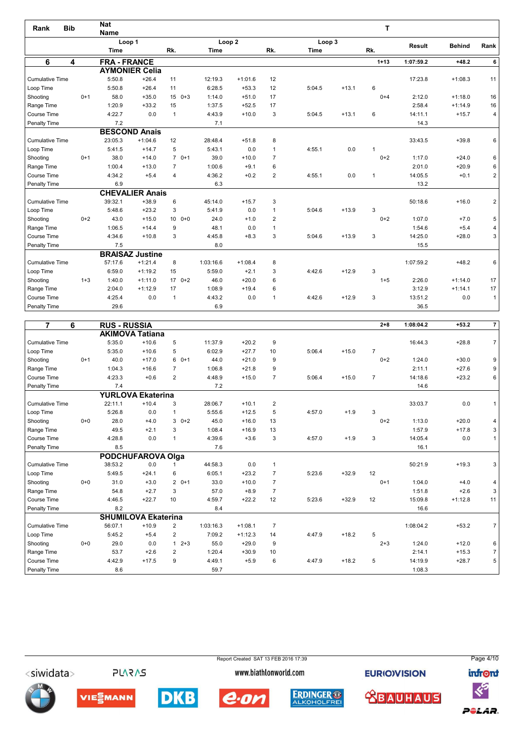| Rank                   | <b>Bib</b> | <b>Nat</b>          |                        |                |                           |           |                |                       |         | т            |               |               |                |
|------------------------|------------|---------------------|------------------------|----------------|---------------------------|-----------|----------------|-----------------------|---------|--------------|---------------|---------------|----------------|
|                        |            | <b>Name</b>         |                        |                |                           |           |                |                       |         |              |               |               |                |
|                        |            | <b>Time</b>         | Loop 1                 | Rk.            | Loop <sub>2</sub><br>Time |           | Rk.            | Loop 3<br><b>Time</b> |         | Rk.          | <b>Result</b> | <b>Behind</b> | Rank           |
|                        |            |                     |                        |                |                           |           |                |                       |         |              |               |               |                |
| 6                      | 4          | <b>FRA - FRANCE</b> |                        |                |                           |           |                |                       |         | $1 + 13$     | 1:07:59.2     | $+48.2$       | 6              |
|                        |            |                     | <b>AYMONIER Celia</b>  |                |                           |           |                |                       |         |              |               |               |                |
| <b>Cumulative Time</b> |            | 5:50.8              | $+26.4$                | 11             | 12:19.3                   | $+1:01.6$ | 12             |                       |         |              | 17:23.8       | $+1:08.3$     | 11             |
| Loop Time              |            | 5:50.8              | $+26.4$                | 11             | 6:28.5                    | $+53.3$   | 12             | 5:04.5                | $+13.1$ | 6            |               |               |                |
| Shooting               | $0+1$      | 58.0                | $+35.0$                | $0 + 3$<br>15  | 1:14.0                    | $+51.0$   | 17             |                       |         | $0 + 4$      | 2:12.0        | $+1:18.0$     | 16             |
| Range Time             |            | 1:20.9              | $+33.2$                | 15             | 1:37.5                    | $+52.5$   | 17             |                       |         |              | 2:58.4        | $+1:14.9$     | 16             |
| Course Time            |            | 4:22.7              | 0.0                    | $\mathbf{1}$   | 4:43.9                    | $+10.0$   | 3              | 5:04.5                | $+13.1$ | 6            | 14:11.1       | $+15.7$       | 4 <sup>1</sup> |
| Penalty Time           |            | 7.2                 |                        |                | 7.1                       |           |                |                       |         |              | 14.3          |               |                |
|                        |            |                     | <b>BESCOND Anais</b>   |                |                           |           |                |                       |         |              |               |               |                |
| <b>Cumulative Time</b> |            | 23:05.3             | $+1:04.6$              | 12             | 28:48.4                   | $+51.8$   | 8              |                       |         |              | 33:43.5       | $+39.8$       | 6              |
| Loop Time              |            | 5:41.5              | $+14.7$                | 5              | 5:43.1                    | 0.0       | $\mathbf{1}$   | 4:55.1                | 0.0     | 1            |               |               |                |
| Shooting               | $0+1$      | 38.0                | $+14.0$                | $70+1$         | 39.0                      | $+10.0$   | $\overline{7}$ |                       |         | $0 + 2$      | 1:17.0        | $+24.0$       | 6              |
| Range Time             |            | 1:00.4              | $+13.0$                | $\overline{7}$ | 1:00.6                    | $+9.1$    | 6              |                       |         |              | 2:01.0        | $+20.9$       | 6              |
| Course Time            |            | 4:34.2              | $+5.4$                 | 4              | 4:36.2                    | $+0.2$    | $\overline{2}$ | 4:55.1                | 0.0     | $\mathbf{1}$ | 14:05.5       | $+0.1$        | 2              |
| Penalty Time           |            | 6.9                 |                        |                | 6.3                       |           |                |                       |         |              | 13.2          |               |                |
|                        |            |                     | <b>CHEVALIER Anais</b> |                |                           |           |                |                       |         |              |               |               |                |
| <b>Cumulative Time</b> |            | 39:32.1             | $+38.9$                | 6              | 45:14.0                   | $+15.7$   | 3              |                       |         |              | 50:18.6       | $+16.0$       | $\overline{2}$ |
| Loop Time              |            | 5:48.6              | $+23.2$                | 3              | 5:41.9                    | 0.0       | $\mathbf{1}$   | 5:04.6                | $+13.9$ | 3            |               |               |                |
| Shooting               | $0+2$      | 43.0                | $+15.0$                | $1000+0$       | 24.0                      | $+1.0$    | $\overline{2}$ |                       |         | $0+2$        | 1:07.0        | $+7.0$        | 5              |
| Range Time             |            | 1:06.5              | $+14.4$                | 9              | 48.1                      | 0.0       | $\mathbf{1}$   |                       |         |              | 1:54.6        | $+5.4$        | 4 <sup>1</sup> |
| Course Time            |            | 4:34.6              | $+10.8$                | 3              | 4:45.8                    | $+8.3$    | 3              | 5:04.6                | $+13.9$ | 3            | 14:25.0       | $+28.0$       | 3 <sup>1</sup> |
| Penalty Time           |            | 7.5                 |                        |                | 8.0                       |           |                |                       |         |              | 15.5          |               |                |
|                        |            |                     | <b>BRAISAZ Justine</b> |                |                           |           |                |                       |         |              |               |               |                |
| <b>Cumulative Time</b> |            | 57:17.6             | $+1:21.4$              | 8              | 1:03:16.6                 | $+1:08.4$ | 8              |                       |         |              | 1:07:59.2     | $+48.2$       | 6              |
| Loop Time              |            | 6:59.0              | $+1:19.2$              | 15             | 5:59.0                    | $+2.1$    | 3              | 4:42.6                | $+12.9$ | 3            |               |               |                |
| Shooting               | $1 + 3$    | 1:40.0              | $+1:11.0$              | $0+2$<br>17    | 46.0                      | $+20.0$   | 6              |                       |         | $1 + 5$      | 2:26.0        | $+1:14.0$     | 17             |
| Range Time             |            | 2:04.0              | $+1:12.9$              | 17             | 1:08.9                    | $+19.4$   | 6              |                       |         |              | 3:12.9        | $+1:14.1$     | 17             |
| Course Time            |            | 4:25.4              | 0.0                    | $\mathbf{1}$   | 4:43.2                    | 0.0       | $\overline{1}$ | 4:42.6                | $+12.9$ | 3            | 13:51.2       | 0.0           | 1              |
| Penalty Time           |            | 29.6                |                        |                | 6.9                       |           |                |                       |         |              | 36.5          |               |                |

| $\overline{7}$         | 6       | <b>RUS - RUSSIA</b> |                            |                |           |           |                |        |         | $2 + 8$        | 1:08:04.2 | $+53.2$   | $\overline{7}$ |
|------------------------|---------|---------------------|----------------------------|----------------|-----------|-----------|----------------|--------|---------|----------------|-----------|-----------|----------------|
|                        |         |                     | <b>AKIMOVA Tatiana</b>     |                |           |           |                |        |         |                |           |           |                |
| <b>Cumulative Time</b> |         | 5:35.0              | $+10.6$                    | 5              | 11:37.9   | $+20.2$   | 9              |        |         |                | 16:44.3   | $+28.8$   | $\overline{7}$ |
| Loop Time              |         | 5:35.0              | $+10.6$                    | 5              | 6:02.9    | $+27.7$   | 10             | 5:06.4 | $+15.0$ | $\overline{7}$ |           |           |                |
| Shooting               | $0+1$   | 40.0                | $+17.0$                    | $60+1$         | 44.0      | $+21.0$   | 9              |        |         | $0 + 2$        | 1:24.0    | $+30.0$   | 9              |
| Range Time             |         | 1:04.3              | $+16.6$                    | $\overline{7}$ | 1:06.8    | $+21.8$   | 9              |        |         |                | 2:11.1    | $+27.6$   | 9              |
| Course Time            |         | 4:23.3              | $+0.6$                     | $\overline{2}$ | 4:48.9    | $+15.0$   | $\overline{7}$ | 5:06.4 | $+15.0$ | $\overline{7}$ | 14:18.6   | $+23.2$   | 6              |
| Penalty Time           |         | 7.4                 |                            |                | 7.2       |           |                |        |         |                | 14.6      |           |                |
|                        |         |                     | <b>YURLOVA Ekaterina</b>   |                |           |           |                |        |         |                |           |           |                |
| <b>Cumulative Time</b> |         | 22:11.1             | $+10.4$                    | 3              | 28:06.7   | $+10.1$   | $\overline{2}$ |        |         |                | 33:03.7   | 0.0       | $\mathbf{1}$   |
| Loop Time              |         | 5:26.8              | 0.0                        | $\mathbf{1}$   | 5:55.6    | $+12.5$   | 5              | 4:57.0 | $+1.9$  | 3              |           |           |                |
| Shooting               | $0 + 0$ | 28.0                | $+4.0$                     | $30+2$         | 45.0      | $+16.0$   | 13             |        |         | $0 + 2$        | 1:13.0    | $+20.0$   | 4              |
| Range Time             |         | 49.5                | $+2.1$                     | 3              | 1:08.4    | $+16.9$   | 13             |        |         |                | 1:57.9    | $+17.8$   | 3              |
| Course Time            |         | 4:28.8              | 0.0                        | 1              | 4:39.6    | $+3.6$    | 3              | 4:57.0 | $+1.9$  | 3              | 14:05.4   | 0.0       | $\mathbf{1}$   |
| Penalty Time           |         | 8.5                 |                            |                | 7.6       |           |                |        |         |                | 16.1      |           |                |
|                        |         |                     | <b>PODCHUFAROVA Olga</b>   |                |           |           |                |        |         |                |           |           |                |
| <b>Cumulative Time</b> |         | 38:53.2             | 0.0                        |                | 44:58.3   | 0.0       | $\mathbf{1}$   |        |         |                | 50:21.9   | $+19.3$   | 3              |
| Loop Time              |         | 5:49.5              | $+24.1$                    | 6              | 6:05.1    | $+23.2$   | $\overline{7}$ | 5:23.6 | $+32.9$ | 12             |           |           |                |
| Shooting               | $0 + 0$ | 31.0                | $+3.0$                     | $20+1$         | 33.0      | $+10.0$   | $\overline{7}$ |        |         | $0+1$          | 1:04.0    | $+4.0$    | 4              |
| Range Time             |         | 54.8                | $+2.7$                     | 3              | 57.0      | $+8.9$    | $\overline{7}$ |        |         |                | 1:51.8    | $+2.6$    | 3              |
| Course Time            |         | 4:46.5              | $+22.7$                    | 10             | 4:59.7    | $+22.2$   | 12             | 5:23.6 | $+32.9$ | 12             | 15:09.8   | $+1:12.8$ | 11             |
| Penalty Time           |         | 8.2                 |                            |                | 8.4       |           |                |        |         |                | 16.6      |           |                |
|                        |         |                     | <b>SHUMILOVA Ekaterina</b> |                |           |           |                |        |         |                |           |           |                |
| <b>Cumulative Time</b> |         | 56:07.1             | $+10.9$                    | 2              | 1:03:16.3 | $+1:08.1$ | $\overline{7}$ |        |         |                | 1:08:04.2 | $+53.2$   | $\overline{7}$ |
| Loop Time              |         | 5:45.2              | $+5.4$                     | $\overline{2}$ | 7:09.2    | $+1:12.3$ | 14             | 4:47.9 | $+18.2$ | 5              |           |           |                |
| Shooting               | $0 + 0$ | 29.0                | 0.0                        | $12+3$         | 55.0      | $+29.0$   | 9              |        |         | $2 + 3$        | 1:24.0    | $+12.0$   | 6              |
| Range Time             |         | 53.7                | $+2.6$                     | $\overline{2}$ | 1:20.4    | $+30.9$   | 10             |        |         |                | 2:14.1    | $+15.3$   | $\overline{7}$ |
| Course Time            |         | 4:42.9              | $+17.5$                    | 9              | 4:49.1    | $+5.9$    | 6              | 4:47.9 | $+18.2$ | 5              | 14:19.9   | $+28.7$   | 5              |
| Penalty Time           |         | 8.6                 |                            |                | 59.7      |           |                |        |         |                | 1:08.3    |           |                |

Report Created SAT 13 FEB 2016 17:39 Page 4/10<siwidata> **PLARAS** www.biathlonworld.com **EURIOVISION infront**  $\ll$ **DKB ERDINGER ® <u> XBAUHAUS</u>** VIESMANN e.on POLAR.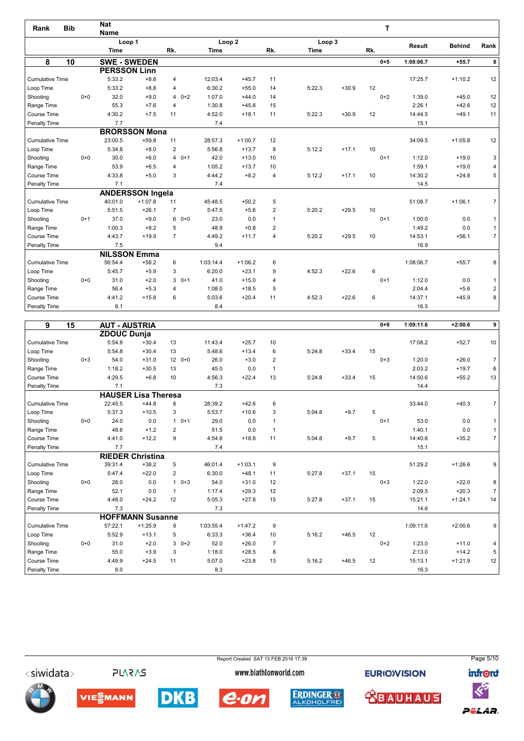| Rank                   | <b>Bib</b> |         | <b>Nat</b>                    |                         |                |           |                   |                |             |         | т       |               |               |                |
|------------------------|------------|---------|-------------------------------|-------------------------|----------------|-----------|-------------------|----------------|-------------|---------|---------|---------------|---------------|----------------|
|                        |            |         | <b>Name</b><br>Loop 1         |                         |                |           | Loop <sub>2</sub> |                | Loop 3      |         |         |               |               |                |
|                        |            |         | Time                          |                         | Rk.            | Time      |                   | Rk.            | <b>Time</b> |         | Rk.     | <b>Result</b> | <b>Behind</b> | Rank           |
|                        |            |         |                               |                         |                |           |                   |                |             |         | $0 + 5$ |               |               |                |
| 8                      | 10         |         | <b>SWE - SWEDEN</b>           |                         |                |           |                   |                |             |         |         | 1:08:06.7     | $+55.7$       | 8              |
| <b>Cumulative Time</b> |            |         | <b>PERSSON Linn</b><br>5:33.2 | $+8.8$                  |                | 12:03.4   | $+45.7$           | 11             |             |         |         | 17:25.7       |               | 12             |
| Loop Time              |            |         | 5:33.2                        | $+8.8$                  | 4<br>4         | 6:30.2    | $+55.0$           | 14             | 5:22.3      | $+30.9$ | 12      |               | $+1:10.2$     |                |
| Shooting               |            | $0+0$   | 32.0                          | $+9.0$                  | $40+2$         | 1:07.0    | $+44.0$           | 14             |             |         | $0 + 2$ | 1:39.0        | $+45.0$       | 12             |
| Range Time             |            |         | 55.3                          | $+7.6$                  | 4              | 1:30.8    | $+45.8$           | 15             |             |         |         | 2:26.1        | $+42.6$       | 12             |
| Course Time            |            |         | 4:30.2                        | $+7.5$                  | 11             | 4:52.0    | $+18.1$           | 11             | 5:22.3      | $+30.9$ | 12      | 14:44.5       | $+49.1$       | 11             |
| Penalty Time           |            |         | 7.7                           |                         |                | 7.4       |                   |                |             |         |         | 15.1          |               |                |
|                        |            |         |                               | <b>BRORSSON Mona</b>    |                |           |                   |                |             |         |         |               |               |                |
| <b>Cumulative Time</b> |            |         | 23:00.5                       | $+59.8$                 | 11             | 28:57.3   | $+1:00.7$         | 12             |             |         |         | 34:09.5       | $+1:05.8$     | 12             |
| Loop Time              |            |         | 5:34.8                        | $+8.0$                  | $\overline{2}$ | 5:56.8    | $+13.7$           | 8              | 5:12.2      | $+17.1$ | 10      |               |               |                |
| Shooting               |            | $0 + 0$ | 30.0                          | $+6.0$                  | $40+1$         | 42.0      | $+13.0$           | 10             |             |         | $0+1$   | 1:12.0        | $+19.0$       | 3              |
| Range Time             |            |         | 53.9                          | $+6.5$                  | $\overline{4}$ | 1:05.2    | $+13.7$           | 10             |             |         |         | 1:59.1        | $+19.0$       | 4              |
| Course Time            |            |         | 4:33.8                        | $+5.0$                  | 3              | 4:44.2    | $+8.2$            | $\overline{4}$ | 5:12.2      | $+17.1$ | 10      | 14:30.2       | $+24.8$       | 5              |
| Penalty Time           |            |         | 7.1                           |                         |                | 7.4       |                   |                |             |         |         | 14.5          |               |                |
|                        |            |         |                               | <b>ANDERSSON Ingela</b> |                |           |                   |                |             |         |         |               |               |                |
| <b>Cumulative Time</b> |            |         | 40:01.0                       | $+1:07.8$               | 11             | 45:48.5   | $+50.2$           | 5              |             |         |         | 51:08.7       | $+1:06.1$     | $\overline{7}$ |
| Loop Time              |            |         | 5:51.5                        | $+26.1$                 | $\overline{7}$ | 5:47.5    | $+5.6$            | 2              | 5:20.2      | $+29.5$ | 10      |               |               |                |
| Shooting               |            | $0+1$   | 37.0                          | $+9.0$                  | $60+0$         | 23.0      | 0.0               | $\mathbf{1}$   |             |         | $0+1$   | 1:00.0        | 0.0           | $\mathbf{1}$   |
| Range Time             |            |         | 1:00.3                        | $+8.2$                  | 5              | 48.9      | $+0.8$            | 2              |             |         |         | 1:49.2        | 0.0           | 1              |
| Course Time            |            |         | 4:43.7                        | $+19.9$                 | $\overline{7}$ | 4:49.2    | $+11.7$           | 4              | 5:20.2      | $+29.5$ | 10      | 14:53.1       | $+56.1$       | 7 <sup>1</sup> |
| Penalty Time           |            |         | 7.5                           |                         |                | 9.4       |                   |                |             |         |         | 16.9          |               |                |
|                        |            |         | <b>NILSSON Emma</b>           |                         |                |           |                   |                |             |         |         |               |               |                |
| <b>Cumulative Time</b> |            |         | 56:54.4                       | $+58.2$                 | 6              | 1:03:14.4 | $+1:06.2$         | 6              |             |         |         | 1:08:06.7     | $+55.7$       | 8              |
| Loop Time              |            |         | 5:45.7                        | $+5.9$                  | 3              | 6:20.0    | $+23.1$           | 9              | 4:52.3      | $+22.6$ | 6       |               |               |                |
| Shooting               |            | $0 + 0$ | 31.0                          | $+2.0$                  | $30+1$         | 41.0      | $+15.0$           | $\overline{4}$ |             |         | $0+1$   | 1:12.0        | 0.0           | $\mathbf{1}$   |
| Range Time             |            |         | 56.4                          | $+5.3$                  | 4              | 1:08.0    | $+18.5$           | 5              |             |         |         | 2:04.4        | $+5.6$        | $\overline{c}$ |
| Course Time            |            |         | 4:41.2                        | $+15.8$                 | 6              | 5:03.6    | $+20.4$           | 11             | 4:52.3      | $+22.6$ | 6       | 14:37.1       | $+45.9$       | 8              |
| Penalty Time           |            |         | 8.1                           |                         |                | 8.4       |                   |                |             |         |         | 16.5          |               |                |

| 9                      | 15      | <b>AUT - AUSTRIA</b> |                            |                |           |           |                |        |         | $0 + 9$ | 1:09:11.6 | $+2:00.6$ | 9 <sup>1</sup> |
|------------------------|---------|----------------------|----------------------------|----------------|-----------|-----------|----------------|--------|---------|---------|-----------|-----------|----------------|
|                        |         | ZDOUC Dunja          |                            |                |           |           |                |        |         |         |           |           |                |
| <b>Cumulative Time</b> |         | 5:54.8               | $+30.4$                    | 13             | 11:43.4   | $+25.7$   | 10             |        |         |         | 17:08.2   | $+52.7$   | 10             |
| Loop Time              |         | 5:54.8               | $+30.4$                    | 13             | 5:48.6    | $+13.4$   | 6              | 5:24.8 | $+33.4$ | 15      |           |           |                |
| Shooting               | $0 + 3$ | 54.0                 | $+31.0$                    | 12<br>$0 + 0$  | 26.0      | $+3.0$    | 2              |        |         | $0 + 3$ | 1:20.0    | $+26.0$   | 7 <sup>1</sup> |
| Range Time             |         | 1:18.2               | $+30.5$                    | 13             | 45.0      | 0.0       | $\overline{1}$ |        |         |         | 2:03.2    | $+19.7$   | 6              |
| Course Time            |         | 4:29.5               | $+6.8$                     | 10             | 4:56.3    | $+22.4$   | 13             | 5:24.8 | $+33.4$ | 15      | 14:50.6   | $+55.2$   | 13             |
| Penalty Time           |         | 7.1                  |                            |                | 7.3       |           |                |        |         |         | 14.4      |           |                |
|                        |         |                      | <b>HAUSER Lisa Theresa</b> |                |           |           |                |        |         |         |           |           |                |
| <b>Cumulative Time</b> |         | 22:45.5              | $+44.8$                    | 8              | 28:39.2   | $+42.6$   | 6              |        |         |         | 33:44.0   | $+40.3$   | 7 <sup>1</sup> |
| Loop Time              |         | 5:37.3               | $+10.5$                    | 3              | 5:53.7    | $+10.6$   | 3              | 5:04.8 | $+9.7$  | 5       |           |           |                |
| Shooting               | $0 + 0$ | 24.0                 | 0.0                        | $10+1$         | 29.0      | 0.0       | 1              |        |         | $0+1$   | 53.0      | 0.0       | 1              |
| Range Time             |         | 48.6                 | $+1.2$                     | 2              | 51.5      | 0.0       | $\mathbf{1}$   |        |         |         | 1:40.1    | 0.0       | 1              |
| Course Time            |         | 4:41.0               | $+12.2$                    | 9              | 4:54.8    | $+18.8$   | 11             | 5:04.8 | $+9.7$  | 5       | 14:40.6   | $+35.2$   | 7 <sup>1</sup> |
| Penalty Time           |         | 7.7                  |                            |                | 7.4       |           |                |        |         |         | 15.1      |           |                |
|                        |         |                      | <b>RIEDER Christina</b>    |                |           |           |                |        |         |         |           |           |                |
| <b>Cumulative Time</b> |         | 39:31.4              | $+38.2$                    | 5              | 46:01.4   | $+1:03.1$ | 9              |        |         |         | 51:29.2   | $+1:26.6$ | 9 <sup>°</sup> |
| Loop Time              |         | 5:47.4               | $+22.0$                    | $\overline{2}$ | 6:30.0    | $+48.1$   | 11             | 5:27.8 | $+37.1$ | 15      |           |           |                |
| Shooting               | $0 + 0$ | 28.0                 | 0.0                        | $10+3$         | 54.0      | $+31.0$   | 12             |        |         | $0 + 3$ | 1:22.0    | $+22.0$   | 8              |
| Range Time             |         | 52.1                 | 0.0                        | $\overline{1}$ | 1:17.4    | $+29.3$   | 12             |        |         |         | 2:09.5    | $+20.3$   | 7 <sup>1</sup> |
| Course Time            |         | 4:48.0               | $+24.2$                    | 12             | 5:05.3    | $+27.8$   | 15             | 5:27.8 | $+37.1$ | 15      | 15:21.1   | $+1:24.1$ | 14             |
| Penalty Time           |         | 7.3                  |                            |                | 7.3       |           |                |        |         |         | 14.6      |           |                |
|                        |         |                      | <b>HOFFMANN Susanne</b>    |                |           |           |                |        |         |         |           |           |                |
| <b>Cumulative Time</b> |         | 57:22.1              | $+1:25.9$                  | 9              | 1:03:55.4 | $+1:47.2$ | 9              |        |         |         | 1:09:11.6 | $+2:00.6$ | 9              |
| Loop Time              |         | 5:52.9               | $+13.1$                    | 5              | 6:33.3    | $+36.4$   | 10             | 5:16.2 | $+46.5$ | 12      |           |           |                |
| Shooting               | $0 + 0$ | 31.0                 | $+2.0$                     | $30+2$         | 52.0      | $+26.0$   | $\overline{7}$ |        |         | $0+2$   | 1:23.0    | $+11.0$   | 4              |
| Range Time             |         | 55.0                 | $+3.9$                     | 3              | 1:18.0    | $+28.5$   | 8              |        |         |         | 2:13.0    | $+14.2$   | 5 <sup>1</sup> |
| Course Time            |         | 4:49.9               | $+24.5$                    | 11             | 5:07.0    | $+23.8$   | 13             | 5:16.2 | $+46.5$ | 12      | 15:13.1   | $+1:21.9$ | 12             |
| Penalty Time           |         | 8.0                  |                            |                | 8.3       |           |                |        |         |         | 16.3      |           |                |

Report Created SAT 13 FEB 2016 17:39 Page 5/10<siwidata> **PLARAS** www.biathlonworld.com **EURIOVISION infront**  $\ll$ **DKB ERDINGER ® <u> XBAUHAUS</u>** VIESMANN e.on POLAR.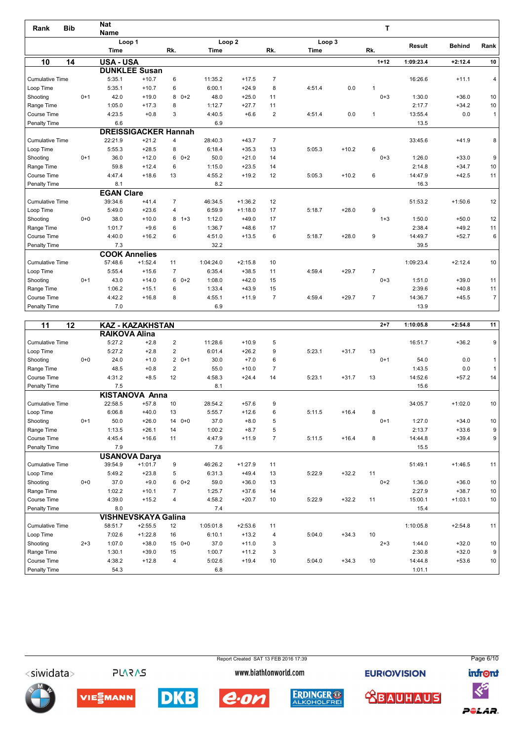| Rank                   | <b>Bib</b> | <b>Nat</b><br><b>Name</b> |                             |                |           |                   |                |             |         | т              |               |               |                |
|------------------------|------------|---------------------------|-----------------------------|----------------|-----------|-------------------|----------------|-------------|---------|----------------|---------------|---------------|----------------|
|                        |            |                           | Loop 1                      |                |           | Loop <sub>2</sub> |                | Loop 3      |         |                |               |               |                |
|                        |            | <b>Time</b>               |                             | Rk.            | Time      |                   | Rk.            | <b>Time</b> |         | Rk.            | <b>Result</b> | <b>Behind</b> | Rank           |
| 10                     | 14         | <b>USA - USA</b>          |                             |                |           |                   |                |             |         | $1 + 12$       | 1:09:23.4     | $+2:12.4$     | 10             |
|                        |            |                           | <b>DUNKLEE Susan</b>        |                |           |                   |                |             |         |                |               |               |                |
| <b>Cumulative Time</b> |            | 5:35.1                    | $+10.7$                     | 6              | 11:35.2   | $+17.5$           | $\overline{7}$ |             |         |                | 16:26.6       | $+11.1$       | 4              |
| Loop Time              |            | 5:35.1                    | $+10.7$                     | 6              | 6:00.1    | $+24.9$           | 8              | 4:51.4      | 0.0     | 1              |               |               |                |
| Shooting               | $0+1$      | 42.0                      | $+19.0$                     | $80+2$         | 48.0      | $+25.0$           | 11             |             |         | $0 + 3$        | 1:30.0        | $+36.0$       | 10             |
| Range Time             |            | 1:05.0                    | $+17.3$                     | 8              | 1:12.7    | $+27.7$           | 11             |             |         |                | 2:17.7        | $+34.2$       | 10             |
| Course Time            |            | 4:23.5                    | $+0.8$                      | 3              | 4:40.5    | $+6.6$            | $\overline{2}$ | 4:51.4      | 0.0     | $\overline{1}$ | 13:55.4       | 0.0           | $\mathbf{1}$   |
| Penalty Time           |            | 6.6                       |                             |                | 6.9       |                   |                |             |         |                | 13.5          |               |                |
|                        |            |                           | <b>DREISSIGACKER Hannah</b> |                |           |                   |                |             |         |                |               |               |                |
| <b>Cumulative Time</b> |            | 22:21.9                   | $+21.2$                     | 4              | 28:40.3   | $+43.7$           | $\overline{7}$ |             |         |                | 33:45.6       | $+41.9$       | 8              |
| Loop Time              |            | 5:55.3                    | $+28.5$                     | 8              | 6:18.4    | $+35.3$           | 13             | 5:05.3      | $+10.2$ | 6              |               |               |                |
| Shooting               | $0+1$      | 36.0                      | $+12.0$                     | $60+2$         | 50.0      | $+21.0$           | 14             |             |         | $0 + 3$        | 1:26.0        | $+33.0$       | 9              |
| Range Time             |            | 59.8                      | $+12.4$                     | 6              | 1:15.0    | $+23.5$           | 14             |             |         |                | 2:14.8        | $+34.7$       | 10             |
| Course Time            |            | 4:47.4                    | $+18.6$                     | 13             | 4:55.2    | $+19.2$           | 12             | 5:05.3      | $+10.2$ | 6              | 14:47.9       | $+42.5$       | 11             |
| Penalty Time           |            | 8.1                       |                             |                | 8.2       |                   |                |             |         |                | 16.3          |               |                |
|                        |            | <b>EGAN Clare</b>         |                             |                |           |                   |                |             |         |                |               |               |                |
| <b>Cumulative Time</b> |            | 39:34.6                   | $+41.4$                     | $\overline{7}$ | 46:34.5   | $+1:36.2$         | 12             |             |         |                | 51:53.2       | $+1:50.6$     | 12             |
| Loop Time              |            | 5:49.0                    | $+23.6$                     | $\overline{4}$ | 6:59.9    | $+1:18.0$         | 17             | 5:18.7      | $+28.0$ | 9              |               |               |                |
| Shooting               | $0 + 0$    | 38.0                      | $+10.0$                     | $1 + 3$<br>8   | 1:12.0    | $+49.0$           | 17             |             |         | $1 + 3$        | 1:50.0        | $+50.0$       | 12             |
| Range Time             |            | 1:01.7                    | $+9.6$                      | 6              | 1:36.7    | $+48.6$           | 17             |             |         |                | 2:38.4        | $+49.2$       | 11             |
| Course Time            |            | 4:40.0                    | $+16.2$                     | 6              | 4:51.0    | $+13.5$           | 6              | 5:18.7      | $+28.0$ | 9              | 14:49.7       | $+52.7$       | 6              |
| Penalty Time           |            | 7.3                       |                             |                | 32.2      |                   |                |             |         |                | 39.5          |               |                |
|                        |            |                           | <b>COOK Annelies</b>        |                |           |                   |                |             |         |                |               |               |                |
| <b>Cumulative Time</b> |            | 57:48.6                   | $+1:52.4$                   | 11             | 1:04:24.0 | $+2:15.8$         | 10             |             |         |                | 1:09:23.4     | $+2:12.4$     | 10             |
| Loop Time              |            | 5:55.4                    | $+15.6$                     | $\overline{7}$ | 6:35.4    | $+38.5$           | 11             | 4:59.4      | $+29.7$ | $\overline{7}$ |               |               |                |
| Shooting               | $0+1$      | 43.0                      | $+14.0$                     | $60+2$         | 1:08.0    | $+42.0$           | 15             |             |         | $0 + 3$        | 1:51.0        | $+39.0$       | 11             |
| Range Time             |            | 1:06.2                    | $+15.1$                     | 6              | 1:33.4    | $+43.9$           | 15             |             |         |                | 2:39.6        | $+40.8$       | 11             |
| Course Time            |            | 4:42.2                    | $+16.8$                     | 8              | 4:55.1    | $+11.9$           | $\overline{7}$ | 4:59.4      | $+29.7$ | $\overline{7}$ | 14:36.7       | $+45.5$       | $\overline{7}$ |
| Penalty Time           |            | 7.0                       |                             |                | 6.9       |                   |                |             |         |                | 13.9          |               |                |

| 11<br>12               |         |                      | <b>KAZ - KAZAKHSTAN</b>    |                |           |           |                |        |         | $2 + 7$ | 1:10:05.8 | $+2:54.8$ | 11              |
|------------------------|---------|----------------------|----------------------------|----------------|-----------|-----------|----------------|--------|---------|---------|-----------|-----------|-----------------|
|                        |         | <b>RAIKOVA Alina</b> |                            |                |           |           |                |        |         |         |           |           |                 |
| <b>Cumulative Time</b> |         | 5:27.2               | $+2.8$                     | 2              | 11:28.6   | $+10.9$   | 5              |        |         |         | 16:51.7   | $+36.2$   | 9 <sup>°</sup>  |
| Loop Time              |         | 5:27.2               | $+2.8$                     | 2              | 6:01.4    | $+26.2$   | 9              | 5:23.1 | $+31.7$ | 13      |           |           |                 |
| Shooting               | $0 + 0$ | 24.0                 | $+1.0$                     | $20+1$         | 30.0      | $+7.0$    | 6              |        |         | $0+1$   | 54.0      | 0.0       | 1 <sup>1</sup>  |
| Range Time             |         | 48.5                 | $+0.8$                     | 2              | 55.0      | $+10.0$   | $\overline{7}$ |        |         |         | 1:43.5    | 0.0       | 1               |
| Course Time            |         | 4:31.2               | $+8.5$                     | 12             | 4:58.3    | $+24.4$   | 14             | 5:23.1 | $+31.7$ | 13      | 14:52.6   | $+57.2$   | 14              |
| Penalty Time           |         | 7.5                  |                            |                | 8.1       |           |                |        |         |         | 15.6      |           |                 |
|                        |         |                      | <b>KISTANOVA Anna</b>      |                |           |           |                |        |         |         |           |           |                 |
| <b>Cumulative Time</b> |         | 22:58.5              | $+57.8$                    | 10             | 28:54.2   | $+57.6$   | 9              |        |         |         | 34:05.7   | $+1:02.0$ | 10 <sup>°</sup> |
| Loop Time              |         | 6:06.8               | $+40.0$                    | 13             | 5:55.7    | $+12.6$   | 6              | 5:11.5 | $+16.4$ | 8       |           |           |                 |
| Shooting               | $0+1$   | 50.0                 | $+26.0$                    | $0 + 0$<br>14  | 37.0      | $+8.0$    | 5              |        |         | $0+1$   | 1:27.0    | $+34.0$   | 10              |
| Range Time             |         | 1:13.5               | $+26.1$                    | 14             | 1:00.2    | $+8.7$    | 5              |        |         |         | 2:13.7    | $+33.6$   | 9 <sup>1</sup>  |
| Course Time            |         | 4:45.4               | $+16.6$                    | 11             | 4:47.9    | $+11.9$   | $\overline{7}$ | 5:11.5 | $+16.4$ | 8       | 14:44.8   | $+39.4$   | 9 <sup>1</sup>  |
| Penalty Time           |         | 7.9                  |                            |                | 7.6       |           |                |        |         |         | 15.5      |           |                 |
|                        |         |                      | <b>USANOVA Darya</b>       |                |           |           |                |        |         |         |           |           |                 |
| <b>Cumulative Time</b> |         | 39:54.9              | $+1:01.7$                  | 9              | 46:26.2   | $+1:27.9$ | 11             |        |         |         | 51:49.1   | $+1:46.5$ | 11              |
| Loop Time              |         | 5:49.2               | $+23.8$                    | 5              | 6:31.3    | $+49.4$   | 13             | 5:22.9 | $+32.2$ | 11      |           |           |                 |
| Shooting               | $0 + 0$ | 37.0                 | $+9.0$                     | $60+2$         | 59.0      | $+36.0$   | 13             |        |         | $0+2$   | 1:36.0    | $+36.0$   | 10 <sup>1</sup> |
| Range Time             |         | 1:02.2               | $+10.1$                    | $\overline{7}$ | 1:25.7    | $+37.6$   | 14             |        |         |         | 2:27.9    | $+38.7$   | 10              |
| Course Time            |         | 4:39.0               | $+15.2$                    | 4              | 4:58.2    | $+20.7$   | 10             | 5:22.9 | $+32.2$ | 11      | 15:00.1   | $+1:03.1$ | 10 <sup>1</sup> |
| Penalty Time           |         | 8.0                  |                            |                | 7.4       |           |                |        |         |         | 15.4      |           |                 |
|                        |         |                      | <b>VISHNEVSKAYA Galina</b> |                |           |           |                |        |         |         |           |           |                 |
| <b>Cumulative Time</b> |         | 58:51.7              | $+2:55.5$                  | 12             | 1:05:01.8 | $+2:53.6$ | 11             |        |         |         | 1:10:05.8 | $+2:54.8$ | 11              |
| Loop Time              |         | 7:02.6               | $+1:22.8$                  | 16             | 6:10.1    | $+13.2$   | 4              | 5:04.0 | $+34.3$ | 10      |           |           |                 |
| Shooting               | $2 + 3$ | 1:07.0               | $+38.0$                    | $0+0$<br>15    | 37.0      | $+11.0$   | 3              |        |         | $2 + 3$ | 1:44.0    | $+32.0$   | 10              |
| Range Time             |         | 1:30.1               | $+39.0$                    | 15             | 1:00.7    | $+11.2$   | 3              |        |         |         | 2:30.8    | $+32.0$   | 9               |
| Course Time            |         | 4:38.2               | $+12.8$                    | $\overline{4}$ | 5:02.6    | $+19.4$   | 10             | 5:04.0 | $+34.3$ | 10      | 14:44.8   | $+53.6$   | 10 <sup>1</sup> |
| <b>Penalty Time</b>    |         | 54.3                 |                            |                | 6.8       |           |                |        |         |         | 1:01.1    |           |                 |

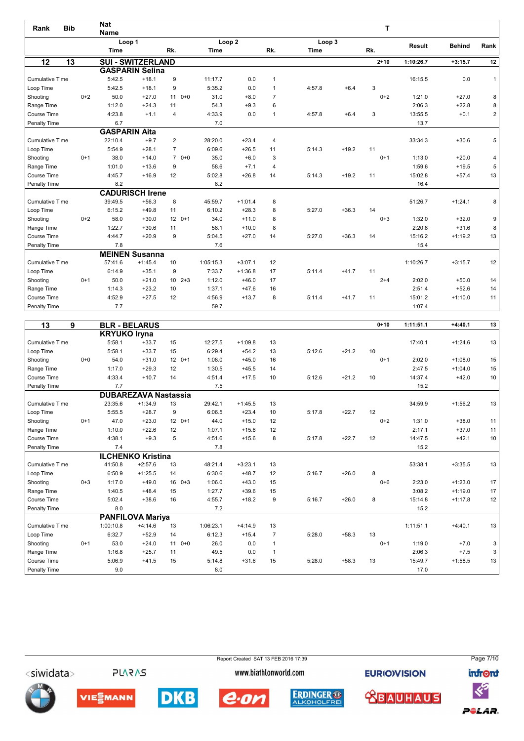| Rank                   | <b>Bib</b>      | <b>Nat</b><br><b>Name</b> |                          |                            |                   |           |                |        |         | т        |               |               |                |
|------------------------|-----------------|---------------------------|--------------------------|----------------------------|-------------------|-----------|----------------|--------|---------|----------|---------------|---------------|----------------|
|                        |                 |                           | Loop 1                   |                            | Loop <sub>2</sub> |           |                | Loop 3 |         |          |               |               |                |
|                        |                 | <b>Time</b>               |                          | Rk.                        | Time              |           | Rk.            | Time   |         | Rk.      | <b>Result</b> | <b>Behind</b> | Rank           |
| 12                     | $\overline{13}$ |                           | <b>SUI - SWITZERLAND</b> |                            |                   |           |                |        |         | $2 + 10$ | 1:10:26.7     | $+3:15.7$     | 12             |
|                        |                 |                           | <b>GASPARIN Selina</b>   |                            |                   |           |                |        |         |          |               |               |                |
| Cumulative Time        |                 | 5:42.5                    | $+18.1$                  | 9                          | 11:17.7           | 0.0       | $\overline{1}$ |        |         |          | 16:15.5       | 0.0           | $\mathbf{1}$   |
| Loop Time              |                 | 5:42.5                    | $+18.1$                  | 9                          | 5:35.2            | 0.0       | $\mathbf{1}$   | 4:57.8 | $+6.4$  | 3        |               |               |                |
| Shooting               | $0 + 2$         | 50.0                      | $+27.0$                  | 11<br>$0 + 0$              | 31.0              | $+8.0$    | $\overline{7}$ |        |         | $0+2$    | 1:21.0        | $+27.0$       | 8              |
| Range Time             |                 | 1:12.0                    | $+24.3$                  | 11                         | 54.3              | $+9.3$    | 6              |        |         |          | 2:06.3        | $+22.8$       | 8              |
| Course Time            |                 | 4:23.8                    | $+1.1$                   | $\overline{4}$             | 4:33.9            | 0.0       | 1              | 4:57.8 | $+6.4$  | 3        | 13:55.5       | $+0.1$        | $\overline{2}$ |
| Penalty Time           |                 | 6.7                       |                          |                            | 7.0               |           |                |        |         |          | 13.7          |               |                |
|                        |                 | <b>GASPARIN</b>           | Aita                     |                            |                   |           |                |        |         |          |               |               |                |
| <b>Cumulative Time</b> |                 | 22:10.4                   | $+9.7$                   | $\overline{2}$             | 28:20.0           | $+23.4$   | $\overline{4}$ |        |         |          | 33:34.3       | $+30.6$       | 5              |
| Loop Time              |                 | 5:54.9                    | $+28.1$                  | $\overline{7}$             | 6:09.6            | $+26.5$   | 11             | 5:14.3 | $+19.2$ | 11       |               |               |                |
| Shooting               | $0+1$           | 38.0                      | $+14.0$                  | $70+0$                     | 35.0              | $+6.0$    | 3              |        |         | $0+1$    | 1:13.0        | $+20.0$       | 4              |
| Range Time             |                 | 1:01.0                    | $+13.6$                  | 9                          | 58.6              | $+7.1$    | 4              |        |         |          | 1:59.6        | $+19.5$       | 5              |
| Course Time            |                 | 4:45.7                    | $+16.9$                  | 12                         | 5:02.8            | $+26.8$   | 14             | 5:14.3 | $+19.2$ | 11       | 15:02.8       | $+57.4$       | 13             |
| Penalty Time           |                 | 8.2                       |                          |                            | 8.2               |           |                |        |         |          | 16.4          |               |                |
|                        |                 |                           | <b>CADURISCH Irene</b>   |                            |                   |           |                |        |         |          |               |               |                |
| <b>Cumulative Time</b> |                 | 39:49.5                   | $+56.3$                  | 8                          | 45:59.7           | $+1:01.4$ | 8              |        |         |          | 51:26.7       | $+1:24.1$     | 8              |
| Loop Time              |                 | 6:15.2                    | $+49.8$                  | 11                         | 6:10.2            | $+28.3$   | 8              | 5:27.0 | $+36.3$ | 14       |               |               |                |
| Shooting               | $0+2$           | 58.0                      | $+30.0$                  | $120+1$                    | 34.0              | $+11.0$   | 8              |        |         | $0 + 3$  | 1:32.0        | $+32.0$       | 9              |
| Range Time             |                 | 1:22.7                    | $+30.6$                  | 11                         | 58.1              | $+10.0$   | 8              |        |         |          | 2:20.8        | $+31.6$       | 8              |
| Course Time            |                 | 4:44.7                    | $+20.9$                  | 9                          | 5:04.5            | $+27.0$   | 14             | 5:27.0 | $+36.3$ | 14       | 15:16.2       | $+1:19.2$     | 13             |
| Penalty Time           |                 | 7.8                       |                          |                            | 7.6               |           |                |        |         |          | 15.4          |               |                |
|                        |                 |                           | <b>MEINEN Susanna</b>    |                            |                   |           |                |        |         |          |               |               |                |
| <b>Cumulative Time</b> |                 | 57:41.6                   | $+1:45.4$                | 10                         | 1:05:15.3         | $+3:07.1$ | 12             |        |         |          | 1:10:26.7     | $+3:15.7$     | 12             |
| Loop Time              |                 | 6:14.9                    | $+35.1$                  | 9                          | 7:33.7            | $+1:36.8$ | 17             | 5:11.4 | $+41.7$ | 11       |               |               |                |
| Shooting               | $0+1$           | 50.0                      | $+21.0$                  | $2 + 3$<br>10 <sup>1</sup> | 1:12.0            | $+46.0$   | 17             |        |         | $2 + 4$  | 2:02.0        | $+50.0$       | 14             |
| Range Time             |                 | 1:14.3                    | $+23.2$                  | 10                         | 1:37.1            | $+47.6$   | 16             |        |         |          | 2:51.4        | $+52.6$       | 14             |
| Course Time            |                 | 4:52.9                    | $+27.5$                  | 12                         | 4:56.9            | $+13.7$   | 8              | 5:11.4 | $+41.7$ | 11       | 15:01.2       | $+1:10.0$     | 11             |
| Penalty Time           |                 | 7.7                       |                          |                            | 59.7              |           |                |        |         |          | 1:07.4        |               |                |

| 13                     | 9       |                     | <b>BLR - BELARUS</b>        |               |           |           |                |        |         | $0 + 10$ | 1:11:51.1 | $+4:40.1$ | 13              |
|------------------------|---------|---------------------|-----------------------------|---------------|-----------|-----------|----------------|--------|---------|----------|-----------|-----------|-----------------|
|                        |         | <b>KRYUKO Iryna</b> |                             |               |           |           |                |        |         |          |           |           |                 |
| <b>Cumulative Time</b> |         | 5:58.1              | $+33.7$                     | 15            | 12:27.5   | $+1:09.8$ | 13             |        |         |          | 17:40.1   | $+1:24.6$ | 13              |
| Loop Time              |         | 5:58.1              | $+33.7$                     | 15            | 6:29.4    | $+54.2$   | 13             | 5:12.6 | $+21.2$ | 10       |           |           |                 |
| Shooting               | $0+0$   | 54.0                | $+31.0$                     | $120+1$       | 1:08.0    | $+45.0$   | 16             |        |         | $0+1$    | 2:02.0    | $+1:08.0$ | 15              |
| Range Time             |         | 1:17.0              | $+29.3$                     | 12            | 1:30.5    | $+45.5$   | 14             |        |         |          | 2:47.5    | $+1:04.0$ | 15              |
| Course Time            |         | 4:33.4              | $+10.7$                     | 14            | 4:51.4    | $+17.5$   | 10             | 5:12.6 | $+21.2$ | 10       | 14:37.4   | $+42.0$   | 10              |
| Penalty Time           |         | 7.7                 |                             |               | 7.5       |           |                |        |         |          | 15.2      |           |                 |
|                        |         |                     | <b>DUBAREZAVA Nastassia</b> |               |           |           |                |        |         |          |           |           |                 |
| <b>Cumulative Time</b> |         | 23:35.6             | $+1:34.9$                   | 13            | 29:42.1   | $+1:45.5$ | 13             |        |         |          | 34:59.9   | $+1:56.2$ | 13              |
| Loop Time              |         | 5:55.5              | $+28.7$                     | 9             | 6:06.5    | $+23.4$   | 10             | 5:17.8 | $+22.7$ | 12       |           |           |                 |
| Shooting               | $0+1$   | 47.0                | $+23.0$                     | $120+1$       | 44.0      | $+15.0$   | 12             |        |         | $0+2$    | 1:31.0    | $+38.0$   | 11              |
| Range Time             |         | 1:10.0              | $+22.6$                     | 12            | 1:07.1    | $+15.6$   | 12             |        |         |          | 2:17.1    | $+37.0$   | 11              |
| Course Time            |         | 4:38.1              | $+9.3$                      | 5             | 4:51.6    | $+15.6$   | 8              | 5:17.8 | $+22.7$ | 12       | 14:47.5   | $+42.1$   | 10 <sup>1</sup> |
| Penalty Time           |         | 7.4                 |                             |               | 7.8       |           |                |        |         |          | 15.2      |           |                 |
|                        |         |                     | <b>ILCHENKO Kristina</b>    |               |           |           |                |        |         |          |           |           |                 |
| <b>Cumulative Time</b> |         | 41:50.8             | $+2:57.6$                   | 13            | 48:21.4   | $+3:23.1$ | 13             |        |         |          | 53:38.1   | $+3:35.5$ | 13              |
| Loop Time              |         | 6:50.9              | $+1:25.5$                   | 14            | 6:30.6    | $+48.7$   | 12             | 5:16.7 | $+26.0$ | 8        |           |           |                 |
| Shooting               | $0 + 3$ | 1:17.0              | $+49.0$                     | 16<br>$0 + 3$ | 1:06.0    | $+43.0$   | 15             |        |         | $0+6$    | 2:23.0    | $+1:23.0$ | 17              |
| Range Time             |         | 1:40.5              | $+48.4$                     | 15            | 1:27.7    | $+39.6$   | 15             |        |         |          | 3:08.2    | $+1:19.0$ | 17              |
| Course Time            |         | 5:02.4              | $+38.6$                     | 16            | 4:55.7    | $+18.2$   | 9              | 5:16.7 | $+26.0$ | 8        | 15:14.8   | $+1:17.8$ | 12              |
| Penalty Time           |         | 8.0                 |                             |               | 7.2       |           |                |        |         |          | 15.2      |           |                 |
|                        |         |                     | <b>PANFILOVA Mariya</b>     |               |           |           |                |        |         |          |           |           |                 |
| <b>Cumulative Time</b> |         | 1:00:10.8           | $+4:14.6$                   | 13            | 1:06:23.1 | $+4:14.9$ | 13             |        |         |          | 1:11:51.1 | $+4:40.1$ | 13              |
| Loop Time              |         | 6:32.7              | $+52.9$                     | 14            | 6:12.3    | $+15.4$   | $\overline{7}$ | 5:28.0 | $+58.3$ | 13       |           |           |                 |
| Shooting               | $0+1$   | 53.0                | $+24.0$                     | $0 + 0$<br>11 | 26.0      | 0.0       | $\mathbf{1}$   |        |         | $0+1$    | 1:19.0    | $+7.0$    | 3               |
| Range Time             |         | 1:16.8              | $+25.7$                     | 11            | 49.5      | 0.0       | $\mathbf{1}$   |        |         |          | 2:06.3    | $+7.5$    | 3 <sup>1</sup>  |
| Course Time            |         | 5:06.9              | $+41.5$                     | 15            | 5:14.8    | $+31.6$   | 15             | 5:28.0 | $+58.3$ | 13       | 15:49.7   | $+1:58.5$ | 13              |
| <b>Penalty Time</b>    |         | 9.0                 |                             |               | 8.0       |           |                |        |         |          | 17.0      |           |                 |

Report Created SAT 13 FEB 2016 17:39 Page 7/10<siwidata> **PLARAS** www.biathlonworld.com **EURIOVISION infront**  $\ll$ **DKB ERDINGER ® <u> XBAUHAUS</u>** VIESMANN e.on POLAR.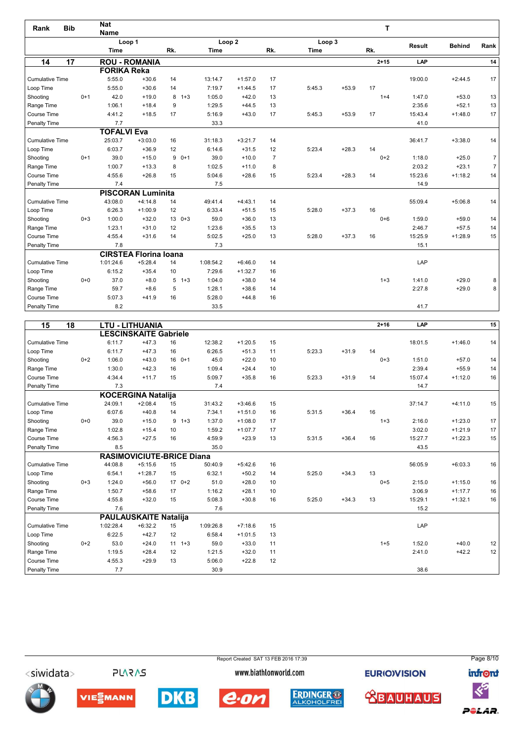| <b>Bib</b><br>Rank     |         | <b>Nat</b>         |                              |              |                   |           |                |             |         | т        |               |               |                |
|------------------------|---------|--------------------|------------------------------|--------------|-------------------|-----------|----------------|-------------|---------|----------|---------------|---------------|----------------|
|                        |         | <b>Name</b>        |                              |              |                   |           |                |             |         |          |               |               |                |
|                        |         |                    | Loop 1                       |              | Loop <sub>2</sub> |           |                | Loop 3      |         |          | <b>Result</b> | <b>Behind</b> | Rank           |
|                        |         | <b>Time</b>        |                              | Rk.          | Time              |           | Rk.            | <b>Time</b> |         | Rk.      |               |               |                |
| 14                     | 17      |                    | <b>ROU - ROMANIA</b>         |              |                   |           |                |             |         | $2 + 15$ | LAP           |               | 14             |
|                        |         | <b>FORIKA Reka</b> |                              |              |                   |           |                |             |         |          |               |               |                |
| <b>Cumulative Time</b> |         | 5:55.0             | $+30.6$                      | 14           | 13:14.7           | $+1:57.0$ | 17             |             |         |          | 19:00.0       | $+2:44.5$     | 17             |
| Loop Time              |         | 5:55.0             | $+30.6$                      | 14           | 7:19.7            | $+1:44.5$ | 17             | 5:45.3      | $+53.9$ | 17       |               |               |                |
| Shooting               | $0+1$   | 42.0               | $+19.0$                      | 8<br>$1 + 3$ | 1:05.0            | $+42.0$   | 13             |             |         | $1 + 4$  | 1:47.0        | $+53.0$       | 13             |
| Range Time             |         | 1:06.1             | $+18.4$                      | 9            | 1:29.5            | $+44.5$   | 13             |             |         |          | 2:35.6        | $+52.1$       | 13             |
| Course Time            |         | 4:41.2             | $+18.5$                      | 17           | 5:16.9            | $+43.0$   | 17             | 5:45.3      | $+53.9$ | 17       | 15:43.4       | $+1:48.0$     | 17             |
| Penalty Time           |         | 7.7                |                              |              | 33.3              |           |                |             |         |          | 41.0          |               |                |
|                        |         | <b>TOFALVI Eva</b> |                              |              |                   |           |                |             |         |          |               |               |                |
| <b>Cumulative Time</b> |         | 25:03.7            | $+3:03.0$                    | 16           | 31:18.3           | $+3:21.7$ | 14             |             |         |          | 36:41.7       | $+3:38.0$     | 14             |
| Loop Time              |         | 6:03.7             | $+36.9$                      | 12           | 6:14.6            | $+31.5$   | 12             | 5:23.4      | $+28.3$ | 14       |               |               |                |
| Shooting               | $0+1$   | 39.0               | $+15.0$                      | $90+1$       | 39.0              | $+10.0$   | $\overline{7}$ |             |         | $0+2$    | 1:18.0        | $+25.0$       | $\overline{7}$ |
| Range Time             |         | 1:00.7             | $+13.3$                      | 8            | 1:02.5            | $+11.0$   | 8              |             |         |          | 2:03.2        | $+23.1$       | $\overline{7}$ |
| Course Time            |         | 4:55.6             | $+26.8$                      | 15           | 5:04.6            | $+28.6$   | 15             | 5:23.4      | $+28.3$ | 14       | 15:23.6       | $+1:18.2$     | 14             |
| Penalty Time           |         | 7.4                |                              |              | 7.5               |           |                |             |         |          | 14.9          |               |                |
|                        |         |                    | <b>PISCORAN Luminita</b>     |              |                   |           |                |             |         |          |               |               |                |
| <b>Cumulative Time</b> |         | 43:08.0            | $+4:14.8$                    | 14           | 49:41.4           | $+4:43.1$ | 14             |             |         |          | 55:09.4       | $+5:06.8$     | 14             |
| Loop Time              |         | 6:26.3             | $+1:00.9$                    | 12           | 6:33.4            | $+51.5$   | 15             | 5:28.0      | $+37.3$ | 16       |               |               |                |
| Shooting               | $0 + 3$ | 1:00.0             | $+32.0$                      | $130+3$      | 59.0              | $+36.0$   | 13             |             |         | $0 + 6$  | 1:59.0        | $+59.0$       | 14             |
| Range Time             |         | 1:23.1             | $+31.0$                      | 12           | 1:23.6            | $+35.5$   | 13             |             |         |          | 2:46.7        | $+57.5$       | 14             |
| Course Time            |         | 4:55.4             | $+31.6$                      | 14           | 5:02.5            | $+25.0$   | 13             | 5:28.0      | $+37.3$ | 16       | 15:25.9       | $+1:28.9$     | 15             |
| Penalty Time           |         | 7.8                |                              |              | 7.3               |           |                |             |         |          | 15.1          |               |                |
|                        |         |                    | <b>CIRSTEA Florina Ioana</b> |              |                   |           |                |             |         |          |               |               |                |
| <b>Cumulative Time</b> |         | 1:01:24.6          | $+5:28.4$                    | 14           | 1:08:54.2         | $+6:46.0$ | 14             |             |         |          | LAP           |               |                |
| Loop Time              |         | 6:15.2             | $+35.4$                      | 10           | 7:29.6            | $+1:32.7$ | 16             |             |         |          |               |               |                |
| Shooting               | $0 + 0$ | 37.0               | $+8.0$                       | 5<br>$1 + 3$ | 1:04.0            | $+38.0$   | 14             |             |         | $1 + 3$  | 1:41.0        | $+29.0$       | 8              |
| Range Time             |         | 59.7               | $+8.6$                       | 5            | 1:28.1            | $+38.6$   | 14             |             |         |          | 2:27.8        | $+29.0$       | 8              |
| Course Time            |         | 5:07.3             | $+41.9$                      | 16           | 5:28.0            | $+44.8$   | 16             |             |         |          |               |               |                |
| Penalty Time           |         | 8.2                |                              |              | 33.5              |           |                |             |         |          | 41.7          |               |                |

| 15                     | 18      |           | <b>LTU - LITHUANIA</b>           |               |           |           |    |        |         | $2 + 16$ | LAP     |           | 15 |
|------------------------|---------|-----------|----------------------------------|---------------|-----------|-----------|----|--------|---------|----------|---------|-----------|----|
|                        |         |           | <b>LESCINSKAITE Gabriele</b>     |               |           |           |    |        |         |          |         |           |    |
| <b>Cumulative Time</b> |         | 6:11.7    | $+47.3$                          | 16            | 12:38.2   | $+1:20.5$ | 15 |        |         |          | 18:01.5 | $+1:46.0$ | 14 |
| Loop Time              |         | 6:11.7    | $+47.3$                          | 16            | 6:26.5    | $+51.3$   | 11 | 5:23.3 | $+31.9$ | 14       |         |           |    |
| Shooting               | $0 + 2$ | 1:06.0    | $+43.0$                          | $0+1$<br>16   | 45.0      | $+22.0$   | 10 |        |         | $0 + 3$  | 1:51.0  | $+57.0$   | 14 |
| Range Time             |         | 1:30.0    | $+42.3$                          | 16            | 1:09.4    | $+24.4$   | 10 |        |         |          | 2:39.4  | $+55.9$   | 14 |
| Course Time            |         | 4:34.4    | $+11.7$                          | 15            | 5:09.7    | $+35.8$   | 16 | 5:23.3 | $+31.9$ | 14       | 15:07.4 | $+1:12.0$ | 16 |
| Penalty Time           |         | 7.3       |                                  |               | 7.4       |           |    |        |         |          | 14.7    |           |    |
|                        |         |           | <b>KOCERGINA Natalija</b>        |               |           |           |    |        |         |          |         |           |    |
| <b>Cumulative Time</b> |         | 24:09.1   | $+2:08.4$                        | 15            | 31:43.2   | $+3:46.6$ | 15 |        |         |          | 37:14.7 | $+4:11.0$ | 15 |
| Loop Time              |         | 6:07.6    | $+40.8$                          | 14            | 7:34.1    | $+1:51.0$ | 16 | 5:31.5 | $+36.4$ | 16       |         |           |    |
| Shooting               | $0+0$   | 39.0      | $+15.0$                          | 9<br>$1 + 3$  | 1:37.0    | $+1:08.0$ | 17 |        |         | $1 + 3$  | 2:16.0  | $+1:23.0$ | 17 |
| Range Time             |         | 1:02.8    | $+15.4$                          | 10            | 1:59.2    | $+1:07.7$ | 17 |        |         |          | 3:02.0  | $+1:21.9$ | 17 |
| Course Time            |         | 4:56.3    | $+27.5$                          | 16            | 4:59.9    | $+23.9$   | 13 | 5:31.5 | $+36.4$ | 16       | 15:27.7 | $+1:22.3$ | 15 |
| Penalty Time           |         | 8.5       |                                  |               | 35.0      |           |    |        |         |          | 43.5    |           |    |
|                        |         |           | <b>RASIMOVICIUTE-BRICE Diana</b> |               |           |           |    |        |         |          |         |           |    |
| <b>Cumulative Time</b> |         | 44:08.8   | $+5:15.6$                        | 15            | 50:40.9   | $+5:42.6$ | 16 |        |         |          | 56:05.9 | $+6:03.3$ | 16 |
| Loop Time              |         | 6:54.1    | $+1:28.7$                        | 15            | 6:32.1    | $+50.2$   | 14 | 5:25.0 | $+34.3$ | 13       |         |           |    |
| Shooting               | $0 + 3$ | 1:24.0    | $+56.0$                          | $170+2$       | 51.0      | $+28.0$   | 10 |        |         | $0 + 5$  | 2:15.0  | $+1:15.0$ | 16 |
| Range Time             |         | 1:50.7    | $+58.6$                          | 17            | 1:16.2    | $+28.1$   | 10 |        |         |          | 3:06.9  | $+1:17.7$ | 16 |
| Course Time            |         | 4:55.8    | $+32.0$                          | 15            | 5:08.3    | $+30.8$   | 16 | 5:25.0 | $+34.3$ | 13       | 15:29.1 | $+1:32.1$ | 16 |
| Penalty Time           |         | 7.6       |                                  |               | 7.6       |           |    |        |         |          | 15.2    |           |    |
|                        |         |           | <b>PAULAUSKAITE Natalija</b>     |               |           |           |    |        |         |          |         |           |    |
| <b>Cumulative Time</b> |         | 1:02:28.4 | $+6:32.2$                        | 15            | 1:09:26.8 | $+7:18.6$ | 15 |        |         |          | LAP     |           |    |
| Loop Time              |         | 6:22.5    | $+42.7$                          | 12            | 6:58.4    | $+1:01.5$ | 13 |        |         |          |         |           |    |
| Shooting               | $0 + 2$ | 53.0      | $+24.0$                          | 11<br>$1 + 3$ | 59.0      | $+33.0$   | 11 |        |         | $1 + 5$  | 1:52.0  | $+40.0$   | 12 |
| Range Time             |         | 1:19.5    | $+28.4$                          | 12            | 1:21.5    | $+32.0$   | 11 |        |         |          | 2:41.0  | $+42.2$   | 12 |
| Course Time            |         | 4:55.3    | $+29.9$                          | 13            | 5:06.0    | $+22.8$   | 12 |        |         |          |         |           |    |
| <b>Penalty Time</b>    |         | 7.7       |                                  |               | 30.9      |           |    |        |         |          | 38.6    |           |    |

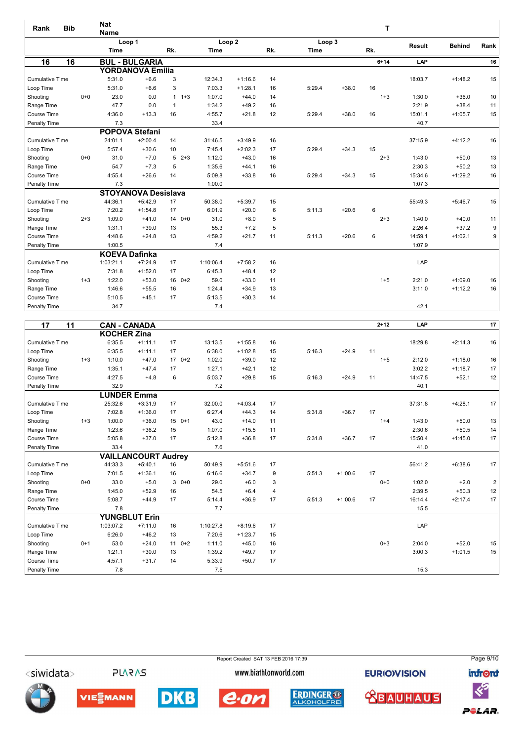| <b>Bib</b><br>Rank     |         | <b>Nat</b>            |                            |                         |                   |           |     |             |         | т        |         |               |      |
|------------------------|---------|-----------------------|----------------------------|-------------------------|-------------------|-----------|-----|-------------|---------|----------|---------|---------------|------|
|                        |         | <b>Name</b><br>Loop 1 |                            |                         | Loop <sub>2</sub> |           |     | Loop 3      |         |          |         |               |      |
|                        |         | <b>Time</b>           |                            | Rk.                     | Time              |           | Rk. | <b>Time</b> |         | Rk.      | Result  | <b>Behind</b> | Rank |
| 16<br>16               |         |                       | <b>BUL - BULGARIA</b>      |                         |                   |           |     |             |         | $6 + 14$ | LAP     |               | 16   |
|                        |         |                       | <b>YORDANOVA Emilia</b>    |                         |                   |           |     |             |         |          |         |               |      |
| <b>Cumulative Time</b> |         | 5:31.0                | $+6.6$                     | 3                       | 12:34.3           | $+1:16.6$ | 14  |             |         |          | 18:03.7 | $+1:48.2$     | 15   |
| Loop Time              |         | 5:31.0                | $+6.6$                     | 3                       | 7:03.3            | $+1:28.1$ | 16  | 5:29.4      | $+38.0$ | 16       |         |               |      |
| Shooting               | $0 + 0$ | 23.0                  | 0.0                        | $1 + 3$<br>$\mathbf{1}$ | 1:07.0            | $+44.0$   | 14  |             |         | $1 + 3$  | 1:30.0  | $+36.0$       | 10   |
| Range Time             |         | 47.7                  | 0.0                        | $\overline{1}$          | 1:34.2            | $+49.2$   | 16  |             |         |          | 2:21.9  | $+38.4$       | 11   |
| Course Time            |         | 4:36.0                | $+13.3$                    | 16                      | 4:55.7            | $+21.8$   | 12  | 5:29.4      | $+38.0$ | 16       | 15:01.1 | $+1:05.7$     | 15   |
| Penalty Time           |         | 7.3                   |                            |                         | 33.4              |           |     |             |         |          | 40.7    |               |      |
|                        |         |                       | <b>POPOVA Stefani</b>      |                         |                   |           |     |             |         |          |         |               |      |
| <b>Cumulative Time</b> |         | 24:01.1               | $+2:00.4$                  | 14                      | 31:46.5           | $+3:49.9$ | 16  |             |         |          | 37:15.9 | $+4:12.2$     | 16   |
| Loop Time              |         | 5:57.4                | $+30.6$                    | 10                      | 7:45.4            | $+2:02.3$ | 17  | 5:29.4      | $+34.3$ | 15       |         |               |      |
| Shooting               | $0 + 0$ | 31.0                  | $+7.0$                     | 5<br>$2+3$              | 1:12.0            | $+43.0$   | 16  |             |         | $2 + 3$  | 1:43.0  | $+50.0$       | 13   |
| Range Time             |         | 54.7                  | $+7.3$                     | 5                       | 1:35.6            | $+44.1$   | 16  |             |         |          | 2:30.3  | $+50.2$       | 13   |
| Course Time            |         | 4:55.4                | $+26.6$                    | 14                      | 5:09.8            | $+33.8$   | 16  | 5:29.4      | $+34.3$ | 15       | 15:34.6 | $+1:29.2$     | 16   |
| Penalty Time           |         | 7.3                   |                            |                         | 1:00.0            |           |     |             |         |          | 1:07.3  |               |      |
|                        |         |                       | <b>STOYANOVA Desislava</b> |                         |                   |           |     |             |         |          |         |               |      |
| <b>Cumulative Time</b> |         | 44:36.1               | $+5:42.9$                  | 17                      | 50:38.0           | $+5:39.7$ | 15  |             |         |          | 55:49.3 | $+5:46.7$     | 15   |
| Loop Time              |         | 7:20.2                | $+1:54.8$                  | 17                      | 6:01.9            | $+20.0$   | 6   | 5:11.3      | $+20.6$ | 6        |         |               |      |
| Shooting               | $2 + 3$ | 1:09.0                | $+41.0$                    | $0+0$<br>14             | 31.0              | $+8.0$    | 5   |             |         | $2 + 3$  | 1:40.0  | $+40.0$       | 11   |
| Range Time             |         | 1:31.1                | $+39.0$                    | 13                      | 55.3              | $+7.2$    | 5   |             |         |          | 2:26.4  | $+37.2$       | 9    |
| Course Time            |         | 4:48.6                | $+24.8$                    | 13                      | 4:59.2            | $+21.7$   | 11  | 5:11.3      | $+20.6$ | 6        | 14:59.1 | $+1:02.1$     | 9    |
| Penalty Time           |         | 1:00.5                |                            |                         | 7.4               |           |     |             |         |          | 1:07.9  |               |      |
|                        |         | <b>KOEVA Dafinka</b>  |                            |                         |                   |           |     |             |         |          |         |               |      |
| <b>Cumulative Time</b> |         | 1:03:21.1             | $+7:24.9$                  | 17                      | 1:10:06.4         | $+7:58.2$ | 16  |             |         |          | LAP     |               |      |
| Loop Time              |         | 7:31.8                | $+1:52.0$                  | 17                      | 6:45.3            | $+48.4$   | 12  |             |         |          |         |               |      |
| Shooting               | $1 + 3$ | 1:22.0                | $+53.0$                    | $16 \t 0+2$             | 59.0              | $+33.0$   | 11  |             |         | $1 + 5$  | 2:21.0  | $+1:09.0$     | 16   |
| Range Time             |         | 1:46.6                | $+55.5$                    | 16                      | 1:24.4            | $+34.9$   | 13  |             |         |          | 3:11.0  | $+1:12.2$     | 16   |
| Course Time            |         | 5:10.5                | $+45.1$                    | 17                      | 5:13.5            | $+30.3$   | 14  |             |         |          |         |               |      |
| Penalty Time           |         | 34.7                  |                            |                         | 7.4               |           |     |             |         |          | 42.1    |               |      |
| 17<br>11               |         | CAN-CANADA            |                            |                         |                   |           |     |             |         | $2 + 12$ | LAP     |               | 17   |

| 17                     | 11      | <b>CAN - CANADA</b> |                            |         |           |           |                |        |           | $2 + 12$ | LAP     |           | 17 |
|------------------------|---------|---------------------|----------------------------|---------|-----------|-----------|----------------|--------|-----------|----------|---------|-----------|----|
|                        |         | <b>KOCHER Zina</b>  |                            |         |           |           |                |        |           |          |         |           |    |
| <b>Cumulative Time</b> |         | 6:35.5              | $+1:11.1$                  | 17      | 13:13.5   | $+1:55.8$ | 16             |        |           |          | 18:29.8 | $+2:14.3$ | 16 |
| Loop Time              |         | 6:35.5              | $+1:11.1$                  | 17      | 6:38.0    | $+1:02.8$ | 15             | 5:16.3 | $+24.9$   | 11       |         |           |    |
| Shooting               | $1 + 3$ | 1:10.0              | $+47.0$                    | $170+2$ | 1:02.0    | $+39.0$   | 12             |        |           | $1 + 5$  | 2:12.0  | $+1:18.0$ | 16 |
| Range Time             |         | 1:35.1              | $+47.4$                    | 17      | 1:27.1    | $+42.1$   | 12             |        |           |          | 3:02.2  | $+1:18.7$ | 17 |
| Course Time            |         | 4:27.5              | $+4.8$                     | 6       | 5:03.7    | $+29.8$   | 15             | 5:16.3 | $+24.9$   | 11       | 14:47.5 | $+52.1$   | 12 |
| Penalty Time           |         | 32.9                |                            |         | 7.2       |           |                |        |           |          | 40.1    |           |    |
|                        |         | <b>LUNDER Emma</b>  |                            |         |           |           |                |        |           |          |         |           |    |
| <b>Cumulative Time</b> |         | 25:32.6             | $+3:31.9$                  | 17      | 32:00.0   | $+4:03.4$ | 17             |        |           |          | 37:31.8 | $+4:28.1$ | 17 |
| Loop Time              |         | 7:02.8              | $+1:36.0$                  | 17      | 6:27.4    | $+44.3$   | 14             | 5:31.8 | $+36.7$   | 17       |         |           |    |
| Shooting               | $1 + 3$ | 1:00.0              | $+36.0$                    | $150+1$ | 43.0      | $+14.0$   | 11             |        |           | $1 + 4$  | 1:43.0  | $+50.0$   | 13 |
| Range Time             |         | 1:23.6              | $+36.2$                    | 15      | 1:07.0    | $+15.5$   | 11             |        |           |          | 2:30.6  | $+50.5$   | 14 |
| Course Time            |         | 5:05.8              | $+37.0$                    | 17      | 5:12.8    | $+36.8$   | 17             | 5:31.8 | $+36.7$   | 17       | 15:50.4 | $+1:45.0$ | 17 |
| Penalty Time           |         | 33.4                |                            |         | 7.6       |           |                |        |           |          | 41.0    |           |    |
|                        |         |                     | <b>VAILLANCOURT Audrey</b> |         |           |           |                |        |           |          |         |           |    |
| <b>Cumulative Time</b> |         | 44:33.3             | $+5:40.1$                  | 16      | 50:49.9   | $+5:51.6$ | 17             |        |           |          | 56:41.2 | $+6:38.6$ | 17 |
| Loop Time              |         | 7:01.5              | $+1:36.1$                  | 16      | 6:16.6    | $+34.7$   | 9              | 5:51.3 | $+1:00.6$ | 17       |         |           |    |
| Shooting               | $0 + 0$ | 33.0                | $+5.0$                     | $30+0$  | 29.0      | $+6.0$    | 3              |        |           | $0+0$    | 1:02.0  | $+2.0$    | 2  |
| Range Time             |         | 1:45.0              | $+52.9$                    | 16      | 54.5      | $+6.4$    | $\overline{4}$ |        |           |          | 2:39.5  | $+50.3$   | 12 |
| Course Time            |         | 5:08.7              | $+44.9$                    | 17      | 5:14.4    | $+36.9$   | 17             | 5:51.3 | $+1:00.6$ | 17       | 16:14.4 | $+2:17.4$ | 17 |
| Penalty Time           |         | 7.8                 |                            |         | 7.7       |           |                |        |           |          | 15.5    |           |    |
|                        |         |                     | <b>YUNGBLUT Erin</b>       |         |           |           |                |        |           |          |         |           |    |
| <b>Cumulative Time</b> |         | 1:03:07.2           | $+7:11.0$                  | 16      | 1:10:27.8 | $+8:19.6$ | 17             |        |           |          | LAP     |           |    |
| Loop Time              |         | 6:26.0              | $+46.2$                    | 13      | 7:20.6    | $+1:23.7$ | 15             |        |           |          |         |           |    |
| Shooting               | $0 + 1$ | 53.0                | $+24.0$                    | $110+2$ | 1:11.0    | $+45.0$   | 16             |        |           | $0 + 3$  | 2:04.0  | $+52.0$   | 15 |
| Range Time             |         | 1:21.1              | $+30.0$                    | 13      | 1:39.2    | $+49.7$   | 17             |        |           |          | 3:00.3  | $+1:01.5$ | 15 |
| Course Time            |         | 4:57.1              | $+31.7$                    | 14      | 5:33.9    | $+50.7$   | 17             |        |           |          |         |           |    |
| <b>Penalty Time</b>    |         | 7.8                 |                            |         | 7.5       |           |                |        |           |          | 15.3    |           |    |